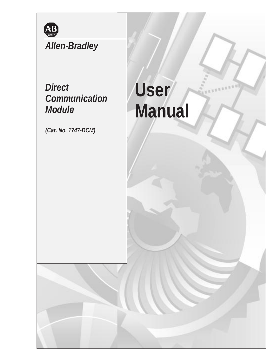

# *Allen-Bradley*

## *Direct Communication Module*

*(Cat. No. 1747-DCM)*

# **User Manual**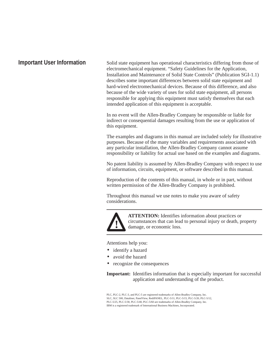#### **Important User Information**

Solid state equipment has operational characteristics differing from those of electromechanical equipment. "Safety Guidelines for the Application, Installation and Maintenance of Solid State Controls" (Publication SGI-1.1) describes some important differences between solid state equipment and hard-wired electromechanical devices. Because of this difference, and also because of the wide variety of uses for solid state equipment, all persons responsible for applying this equipment must satisfy themselves that each intended application of this equipment is acceptable.

In no event will the Allen-Bradley Company be responsible or liable for indirect or consequential damages resulting from the use or application of this equipment.

The examples and diagrams in this manual are included solely for illustrative purposes. Because of the many variables and requirements associated with any particular installation, the Allen-Bradley Company cannot assume responsibility or liability for actual use based on the examples and diagrams.

No patent liability is assumed by Allen-Bradley Company with respect to use of information, circuits, equipment, or software described in this manual.

Reproduction of the contents of this manual, in whole or in part, without written permission of the Allen-Bradley Company is prohibited.

Throughout this manual we use notes to make you aware of safety considerations.



**ATTENTION:** Identifies information about practices or circumstances that can lead to personal injury or death, property damage, or economic loss.

Attentions help you:

- identify a hazard
- avoid the hazard
- recognize the consequences

**Important:** Identifies information that is especially important for successful application and understanding of the product.

PLC, PLC-2, PLC-3, and PLC-5 are registered trademarks of Allen-Bradley Company, Inc. SLC, SLC 500, Dataliner, PanelView, RediPANEL, PLC-5/11, PLC-5/15, PLC-5/20, PLC-5/12, PLC-5/25, PLC-5/30, PLC-5/40, PLC-5/60 are trademarks of Allen-Bradley Company, Inc. IBM is a registered trademark of International Business Machines, Incorporated.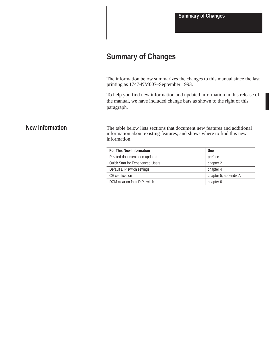**Summary of Changes**

### **Summary of Changes**

The information below summarizes the changes to this manual since the last printing as 1747-NM007–September 1993.

To help you find new information and updated information in this release of the manual, we have included change bars as shown to the right of this paragraph.

#### **New Information**

The table below lists sections that document new features and additional information about existing features, and shows where to find this new information.

| <b>For This New Information</b>          | <b>See</b>            |
|------------------------------------------|-----------------------|
| Related documentation updated            | preface               |
| <b>Quick Start for Experienced Users</b> | chapter 2             |
| Default DIP switch settings              | chapter 4             |
| CF certification                         | chapter 5, appendix A |
| DCM clear on fault DIP switch            | chapter 6             |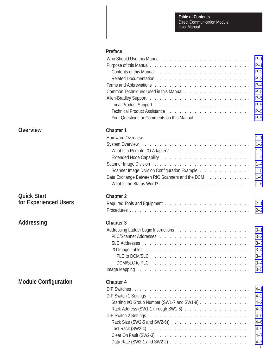#### **Preface**

|              |                                                                                                                    | $P-1$<br>$P-1$<br>$P-2$<br>$P-2$<br>$P-4$<br>$P-5$<br>$P-5$<br>$P-5$<br>$P-5$<br>$P-5$                          |
|--------------|--------------------------------------------------------------------------------------------------------------------|-----------------------------------------------------------------------------------------------------------------|
|              | <b>Chapter 1</b><br>Scanner Image Division Configuration Example<br>Data Exchange Between RIO Scanners and the DCM | $1 - 1$<br>$1 - 2$<br>$1 - 2$<br>$1 - 4$<br>$1 - 4$<br>$1 - 5$<br>$1 - 6$<br>$1 - 6$                            |
| <b>Users</b> | <b>Chapter 2</b>                                                                                                   | $2 - 1$<br>$2 - 2$                                                                                              |
|              | <b>Chapter 3</b>                                                                                                   | $3 - 1$<br>$3 - 2$<br>$3 - 3$<br>$3 - 4$<br>$3 - 4$<br>$3 - 4$<br>$3 - 5$                                       |
| ration       | <b>Chapter 4</b><br>Rack Address (SW1-1 through SW1-6)                                                             | $4 - 1$<br>$4 - 2$<br>$4 - 2$<br>$4 - 3$<br>$4 - 6$<br>$4 - 6$<br>$4 - 6$<br>$4 - 7$<br>$4 - 7$<br>$\mathbf{i}$ |

### **Overview**

|  | <b>Quick Start</b>    |  |
|--|-----------------------|--|
|  | for Experienced Users |  |

**Addressing**

### **Module Configure**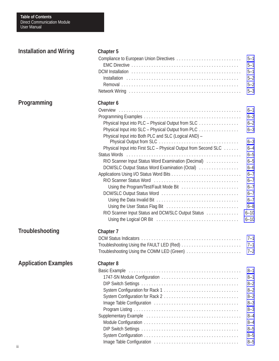| <b>Installation and Wiring</b> | <b>Chapter 5</b>                                                |          |
|--------------------------------|-----------------------------------------------------------------|----------|
|                                |                                                                 | $5 - 1$  |
|                                |                                                                 | $5 - 1$  |
|                                |                                                                 | $5 - 1$  |
|                                |                                                                 | $5 - 2$  |
|                                |                                                                 | $5 - 2$  |
|                                |                                                                 | $5 - 3$  |
| <b>Programming</b>             | Chapter 6                                                       |          |
|                                |                                                                 | $6 - 1$  |
|                                |                                                                 | $6 - 2$  |
|                                | Physical Input into PLC - Physical Output from SLC              | $6 - 2$  |
|                                | Physical Input into SLC - Physical Output from PLC              | $6 - 3$  |
|                                | Physical Input into Both PLC and SLC (Logical AND) -            |          |
|                                |                                                                 | $6 - 3$  |
|                                | Physical Input into First SLC - Physical Output from Second SLC | $6 - 4$  |
|                                |                                                                 | $6 - 5$  |
|                                | RIO Scanner Input Status Word Examination (Decimal)             | $6 - 5$  |
|                                | DCM/SLC Output Status Word Examination (Octal)                  | $6 - 6$  |
|                                |                                                                 | $6 - 7$  |
|                                |                                                                 | $6 - 7$  |
|                                | Using the Program/Test/Fault Mode Bit                           | $6 - 7$  |
|                                |                                                                 | $6 - 7$  |
|                                |                                                                 | $6 - 7$  |
|                                |                                                                 | $6 - 8$  |
|                                | RIO Scanner Input Status and DCM/SLC Output Status              | $6 - 10$ |
|                                |                                                                 | $6 - 10$ |
| <b>Troubleshooting</b>         | <b>Chapter 7</b>                                                |          |
|                                |                                                                 | $7 - 1$  |
|                                | Troubleshooting Using the FAULT LED (Red)                       | $7 - 1$  |
|                                | Troubleshooting Using the COMM LED (Green)                      | $7 - 2$  |
| <b>Application Examples</b>    | <b>Chapter 8</b>                                                |          |
|                                |                                                                 | $8 - 1$  |
|                                |                                                                 | $8 - 1$  |
|                                |                                                                 |          |
|                                |                                                                 | $8 - 2$  |
|                                |                                                                 | $8 - 2$  |
|                                |                                                                 | $8 - 2$  |
|                                |                                                                 | $8 - 3$  |
|                                |                                                                 | $8 - 3$  |
|                                |                                                                 | $8 - 4$  |
|                                |                                                                 | $8 - 4$  |
|                                |                                                                 | $8 - 5$  |
|                                |                                                                 | $8 - 5$  |
|                                |                                                                 | $8 - 5$  |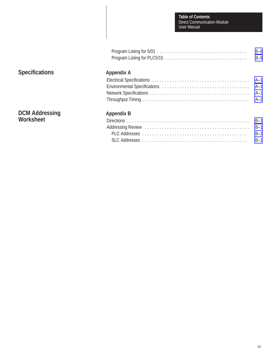Direct Communication Module User Manual **Table of Contents**

| $8 - 6$ |
|---------|
| $8 - 9$ |

### **Specifications**

#### **Appendix A**

#### **DCM Addressing Worksheet**

#### **Appendix B**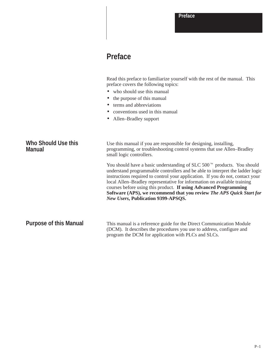### <span id="page-8-0"></span>**Preface**

Read this preface to familiarize yourself with the rest of the manual. This preface covers the following topics:

- who should use this manual
- the purpose of this manual
- terms and abbreviations
- conventions used in this manual
- Allen–Bradley support

| Who Should Use this<br><b>Manual</b> | Use this manual if you are responsible for designing, installing,<br>programming, or troubleshooting control systems that use Allen–Bradley<br>small logic controllers.                                                                                                                                                                                                                                                                                                                                                          |  |
|--------------------------------------|----------------------------------------------------------------------------------------------------------------------------------------------------------------------------------------------------------------------------------------------------------------------------------------------------------------------------------------------------------------------------------------------------------------------------------------------------------------------------------------------------------------------------------|--|
|                                      | You should have a basic understanding of SLC 500 <sup><math>m</math></sup> products. You should<br>understand programmable controllers and be able to interpret the ladder logic<br>instructions required to control your application. If you do not, contact your<br>local Allen–Bradley representative for information on available training<br>courses before using this product. If using Advanced Programming<br>Software (APS), we recommend that you review The APS Quick Start for<br>New Users, Publication 9399-APSQS. |  |
| <b>Purpose of this Manual</b>        | This manual is a reference guide for the Direct Communication Module<br>(DCM). It describes the procedures you use to address, configure and<br>program the DCM for application with PLCs and SLCs.                                                                                                                                                                                                                                                                                                                              |  |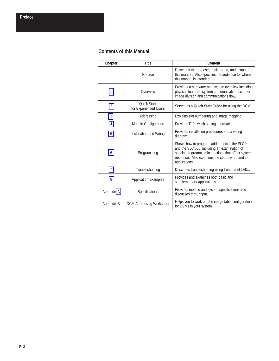#### <span id="page-9-0"></span>**Contents of this Manual**

| Chapter        | <b>Title</b>                                | Content                                                                                                                                                                                                                              |
|----------------|---------------------------------------------|--------------------------------------------------------------------------------------------------------------------------------------------------------------------------------------------------------------------------------------|
|                | Preface                                     | Describes the purpose, background, and scope of<br>this manual. Also specifies the audience for whom<br>this manual is intended.                                                                                                     |
| 1              | Overview                                    | Provides a hardware and system overview including<br>physical features, system communication, scanner<br>image division and communications flow.                                                                                     |
| $\overline{2}$ | <b>Ouick Start</b><br>for Experienced Users | Serves as a <b>Quick Start Guide</b> for using the DCM.                                                                                                                                                                              |
| 3              | Addressing                                  | Explains slot numbering and image mapping.                                                                                                                                                                                           |
| 4              | Module Configuration                        | Provides DIP switch setting information.                                                                                                                                                                                             |
| 5              | Installation and Wiring                     | Provides installation procedures and a wiring<br>diagram.                                                                                                                                                                            |
| 6              | Programming                                 | Shows how to program ladder logic in the PLC <sup>®</sup><br>and the SLC 500, including an examination of<br>special programming instructions that affect system<br>response. Also examines the status word and its<br>applications. |
| $\overline{7}$ | Troubleshooting                             | Describes troubleshooting using front panel LEDs.                                                                                                                                                                                    |
| 8              | <b>Application Examples</b>                 | Provides and examines both basic and<br>supplementary applications.                                                                                                                                                                  |
| Appendix A     | Specifications                              | Provides module and system specifications and<br>discusses throughput.                                                                                                                                                               |
| Appendix B     | <b>DCM Addressing Worksheet</b>             | Helps you to work out the image table configuration<br>for DCMs in your system.                                                                                                                                                      |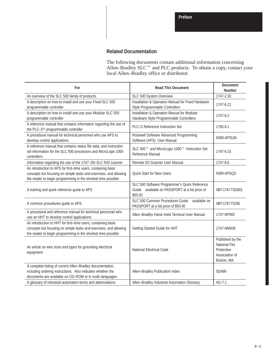#### **Related Documentation**

The following documents contain additional information concerning<br>Allen–Bradley SLC<sup> $m$ </sup> and PLC products. To obtain a copy, contact your local Allen–Bradley office or distributor.

| For                                                                                                                                                                                                 | <b>Read This Document</b>                                                                                  | <b>Document</b><br><b>Number</b>                                                        |
|-----------------------------------------------------------------------------------------------------------------------------------------------------------------------------------------------------|------------------------------------------------------------------------------------------------------------|-----------------------------------------------------------------------------------------|
| An overview of the SLC 500 family of products                                                                                                                                                       | SLC 500 System Overview                                                                                    | 1747-2.30                                                                               |
| A description on how to install and use your Fixed SLC 500<br>programmable controller                                                                                                               | Installation & Operation Manual for Fixed Hardware<br>Style Programmable Controllers                       | 1747-6.21                                                                               |
| A description on how to install and use your Modular SLC 500<br>programmable controller                                                                                                             | Installation & Operation Manual for Modular<br>Hardware Style Programmable Controllers                     | 1747-6.2                                                                                |
| A reference manual that contains information regarding the use of<br>the PLC-5 <sup>®</sup> programmable controller                                                                                 | PLC-5 Reference Instruction Set                                                                            | 1785-6.1                                                                                |
| A procedural manual for technical personnel who use APS to<br>develop control applications                                                                                                          | Rockwell Software Advanced Programming<br>Software (APS) User Manual                                       | 9399-APSUM                                                                              |
| A reference manual that contains status file data, and instruction<br>set information for the SLC 500 processors and MicroLogix 1000<br>controllers.                                                | SLC 500 <sup>™</sup> and MicroLogix 1000™ Instruction Set<br>Reference Manual                              | 1747-6.15                                                                               |
| Information regarding the use of the 1747-SN SLC RIO scanner                                                                                                                                        | Remote I/O Scanner User Manual                                                                             | 1747-6.6                                                                                |
| An introduction to APS for first-time users, containing basic<br>concepts but focusing on simple tasks and exercises, and allowing<br>the reader to begin programming in the shortest time possible | <b>Quick Start for New Users</b>                                                                           | 9399-APSQS                                                                              |
| A training and quick reference guide to APS                                                                                                                                                         | SLC 500 Software Programmer's Quick Reference<br>Guide-available on PASSPORT at a list price of<br>\$50.00 | ABT-1747-TSG001                                                                         |
| A common procedures guide to APS.                                                                                                                                                                   | SLC 500 Common Procedures Guide-available on<br>PASSPORT at a list price of \$50.00                        | ABT-1747-TSJ50                                                                          |
| A procedural and reference manual for technical personnel who<br>use an HHT to develop control applications                                                                                         | Allen-Bradley Hand-Held Terminal User Manual                                                               | 1747-NP002                                                                              |
| An introduction to HHT for first-time users, containing basic<br>concepts but focusing on simple tasks and exercises, and allowing<br>the reader to begin programming in the shortest time possible | Getting Started Guide for HHT                                                                              | 1747-NM009                                                                              |
| An article on wire sizes and types for grounding electrical<br>equipment                                                                                                                            | <b>National Electrical Code</b>                                                                            | Published by the<br><b>National Fire</b><br>Protection<br>Association of<br>Boston, MA. |
| A complete listing of current Allen-Bradley documentation,<br>including ordering instructions. Also indicates whether the<br>documents are available on CD-ROM or in multi-languages.               | Allen-Bradley Publication Index                                                                            | SD499                                                                                   |
| A glossary of industrial automation terms and abbreviations                                                                                                                                         | Allen-Bradley Industrial Automation Glossary                                                               | AG-7.1                                                                                  |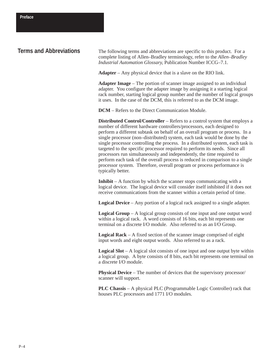#### <span id="page-11-0"></span>**Terms and Abbreviations**

The following terms and abbreviations are specific to this product. For a complete listing of Allen–Bradley terminology, refer to the *Allen–Bradley Industrial Automation Glossary*, Publication Number ICCG–7.1.

**Adapter** – Any physical device that is a slave on the RIO link.

**Adapter Image** – The portion of scanner image assigned to an individual adapter. You configure the adapter image by assigning it a starting logical rack number, starting logical group number and the number of logical groups it uses. In the case of the DCM, this is referred to as the DCM image.

**DCM** – Refers to the Direct Communication Module.

**Distributed Control/Controller** – Refers to a control system that employs a number of different hardware controllers/processors, each designed to perform a different subtask on behalf of an overall program or process. In a single processor (non–distributed) system, each task would be done by the single processor controlling the process. In a distributed system, each task is targeted to the specific processor required to perform its needs. Since all processors run simultaneously and independently, the time required to perform each task of the overall process is reduced in comparison to a single processor system. Therefore, overall program or process performance is typically better.

**Inhibit** – A function by which the scanner stops communicating with a logical device. The logical device will consider itself inhibited if it does not receive communications from the scanner within a certain period of time.

**Logical Device** – Any portion of a logical rack assigned to a single adapter.

**Logical Group** – A logical group consists of one input and one output word within a logical rack. A word consists of 16 bits, each bit represents one terminal on a discrete I/O module. Also referred to as an I/O Group.

**Logical Rack** – A fixed section of the scanner image comprised of eight input words and eight output words. Also referred to as a rack.

**Logical Slot** – A logical slot consists of one input and one output byte within a logical group. A byte consists of 8 bits, each bit represents one terminal on a discrete I/O module.

**Physical Device** – The number of devices that the supervisory processor/ scanner will support.

**PLC Chassis** – A physical PLC (Programmable Logic Controller) rack that houses PLC processors and 1771 I/O modules.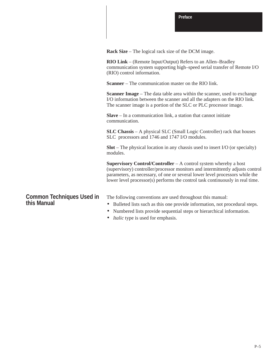<span id="page-12-0"></span>**Rack Size** – The logical rack size of the DCM image.

**RIO Link** – (Remote Input/Output) Refers to an Allen–Bradley communication system supporting high–speed serial transfer of Remote I/O (RIO) control information.

**Scanner** – The communication master on the RIO link.

**Scanner Image** – The data table area within the scanner, used to exchange I/O information between the scanner and all the adapters on the RIO link. The scanner image is a portion of the SLC or PLC processor image.

**Slave** – In a communication link, a station that cannot initiate communication.

**SLC Chassis** – A physical SLC (Small Logic Controller) rack that houses SLC processors and 1746 and 1747 I/O modules.

**Slot** – The physical location in any chassis used to insert I/O (or specialty) modules.

**Supervisory Control/Controller** – A control system whereby a host (supervisory) controller/processor monitors and intermittently adjusts control parameters, as necessary, of one or several lower level processors while the lower level processor(s) performs the control task continuously in real time.

#### **Common Techniques Used in this Manual**

The following conventions are used throughout this manual:

- Bulleted lists such as this one provide information, not procedural steps.
- Numbered lists provide sequential steps or hierarchical information.
- *Italic* type is used for emphasis.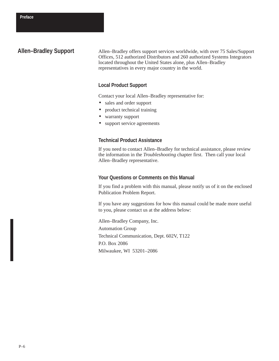#### **Allen–Bradley Support**

Allen–Bradley offers support services worldwide, with over 75 Sales/Support Offices, 512 authorized Distributors and 260 authorized Systems Integrators located throughout the United States alone, plus Allen–Bradley representatives in every major country in the world.

#### **Local Product Support**

Contact your local Allen–Bradley representative for:

- sales and order support
- product technical training
- warranty support
- support service agreements

#### **Technical Product Assistance**

If you need to contact Allen–Bradley for technical assistance, please review the information in the *Troubleshooting* chapter first. Then call your local Allen–Bradley representative.

#### **Your Questions or Comments on this Manual**

If you find a problem with this manual, please notify us of it on the enclosed Publication Problem Report.

If you have any suggestions for how this manual could be made more useful to you, please contact us at the address below:

Allen–Bradley Company, Inc. Automation Group Technical Communication, Dept. 602V, T122 P.O. Box 2086 Milwaukee, WI 53201–2086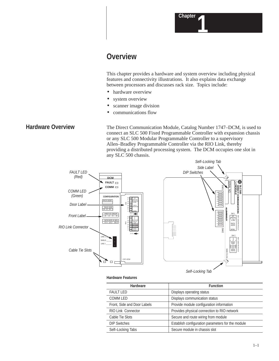### <span id="page-14-1"></span><span id="page-14-0"></span>**Overview**

This chapter provides a hardware and system overview including physical features and connectivity illustrations. It also explains data exchange between processors and discusses rack size. Topics include:

- hardware overview
- system overview
- scanner image division
- communications flow

#### **Hardware Overview**

The Direct Communication Module, Catalog Number 1747–DCM, is used to connect an SLC 500 Fixed Programmable Controller with expansion chassis or any SLC 500 Modular Programmable Controller to a supervisory Allen–Bradley Programmable Controller via the RIO Link, thereby providing a distributed processing system. The DCM occupies one slot in any SLC 500 chassis.



**Hardware Features**

| <b>Hardware</b>             | <b>Function</b>                                   |
|-----------------------------|---------------------------------------------------|
| <b>FAULT LED</b>            | Displays operating status                         |
| <b>COMM LED</b>             | Displays communication status                     |
| Front, Side and Door Labels | Provide module configuration information          |
| <b>RIO Link Connector</b>   | Provides physical connection to RIO network       |
| Cable Tie Slots             | Secure and route wiring from module               |
| <b>DIP Switches</b>         | Establish configuration parameters for the module |
| Self-Locking Tabs           | Secure module in chassis slot                     |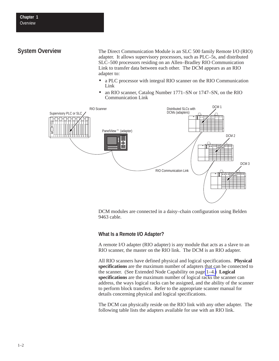### <span id="page-15-0"></span>**System Overview**

The Direct Communication Module is an SLC 500 family Remote I/O (RIO) adapter. It allows supervisory processors, such as PLC–5s, and distributed SLC–500 processors residing on an Allen–Bradley RIO Communication Link to transfer data between each other. The DCM appears as an RIO adapter to:

- a PLC processor with integral RIO scanner on the RIO Communication Link
- an RIO scanner, Catalog Number 1771–SN or 1747–SN, on the RIO Communication Link



DCM modules are connected in a daisy–chain configuration using Belden 9463 cable.

#### **What Is a Remote I/O Adapter?**

A remote I/O adapter (RIO adapter) is any module that acts as a slave to an RIO scanner, the master on the RIO link. The DCM is an RIO adapter.

All RIO scanners have defined physical and logical specifications. **Physical specifications** are the maximum number of adapters that can be connected to the scanner. (See Extended Node Capability on page [1–4.\)](#page-17-1) **Logical specifications** are the maximum number of logical racks the scanner can address, the ways logical racks can be assigned, and the ability of the scanner to perform block transfers. Refer to the appropriate scanner manual for details concerning physical and logical specifications.

The DCM can physically reside on the RIO link with any other adapter. The following table lists the adapters available for use with an RIO link.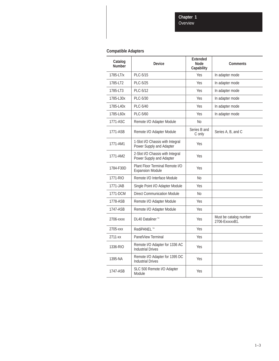**Chapter 1**

Overview

#### **Compatible Adapters**

| Catalog<br><b>Number</b> | <b>Device</b>                                                | <b>Extended</b><br>Node<br>Capability | <b>Comments</b>                          |
|--------------------------|--------------------------------------------------------------|---------------------------------------|------------------------------------------|
| 1785-LT/x                | PLC-5/15                                                     | Yes                                   | In adapter mode                          |
| 1785-LT2                 | PLC-5/25                                                     | Yes                                   | In adapter mode                          |
| 1785-LT3                 | PLC-5/12                                                     | Yes                                   | In adapter mode                          |
| 1785-L30x                | PLC-5/30                                                     | Yes                                   | In adapter mode                          |
| 1785-L40x                | PLC-5/40                                                     | Yes                                   | In adapter mode                          |
| 1785-L60x                | PLC-5/60                                                     | Yes                                   | In adapter mode                          |
| 1771-ASC                 | Remote I/O Adapter Module                                    | No                                    |                                          |
| 1771-ASB                 | Remote I/O Adapter Module                                    | Series B and<br>C only                | Series A, B, and C                       |
| 1771-AM1                 | 1-Slot I/O Chassis with Integral<br>Power Supply and Adapter | Yes                                   |                                          |
| 1771-AM2                 | 2-Slot I/O Chassis with Integral<br>Power Supply and Adapter | Yes                                   |                                          |
| 1784-F30D                | Plant Floor Terminal Remote I/O<br><b>Expansion Module</b>   | Yes                                   |                                          |
| 1771-RIO                 | Remote I/O Interface Module                                  | Nο                                    |                                          |
| 1771-JAB                 | Single Point I/O Adapter Module                              | Yes                                   |                                          |
| 1771-DCM                 | <b>Direct Communication Module</b>                           | No                                    |                                          |
| 1778-ASB                 | Remote I/O Adapter Module                                    | Yes                                   |                                          |
| 1747-ASB                 | Remote I/O Adapter Module                                    | Yes                                   |                                          |
| 2706-xxxx                | DL40 Dataliner <sup>™</sup>                                  | Yes                                   | Must be catalog number<br>2706-ExxxxxB1. |
| 2705-xxx                 | RediPANEL™                                                   | Yes                                   |                                          |
| 2711-xx                  | PanelView Terminal                                           | Yes                                   |                                          |
| 1336-RIO                 | Remote I/O Adapter for 1336 AC<br><b>Industrial Drives</b>   | Yes                                   |                                          |
| 1395-NA                  | Remote I/O Adapter for 1395 DC<br><b>Industrial Drives</b>   | Yes                                   |                                          |
| 1747-ASB                 | SLC 500 Remote I/O Adapter<br>Module                         | Yes                                   |                                          |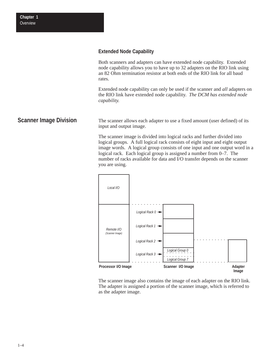#### <span id="page-17-1"></span><span id="page-17-0"></span>**Extended Node Capability**

Both scanners and adapters can have extended node capability. Extended node capability allows you to have up to 32 adapters on the RIO link using an 82 Ohm termination resistor at both ends of the RIO link for all baud rates.

Extended node capability can only be used if the scanner and *all* adapters on the RIO link have extended node capability. *The DCM has extended node capability.*

The scanner allows each adapter to use a fixed amount (user defined) of its input and output image. **Scanner Image Division**

> The scanner image is divided into logical racks and further divided into logical groups. A full logical rack consists of eight input and eight output image words. A logical group consists of one input and one output word in a logical rack. Each logical group is assigned a number from 0–7. The number of racks available for data and I/O transfer depends on the scanner you are using.



The scanner image also contains the image of each adapter on the RIO link. The adapter is assigned a portion of the scanner image, which is referred to as the adapter image.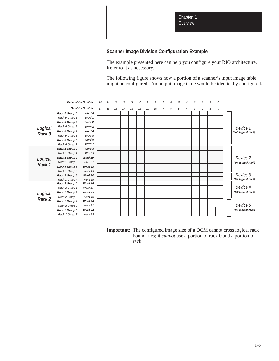**Chapter 1 Overview** 

#### **Scanner Image Division Configuration Example**

The example presented here can help you configure your RIO architecture. Refer to it as necessary.

The following figure shows how a portion of a scanner's input image table might be configured. An output image table would be identically configured.

<span id="page-18-0"></span>

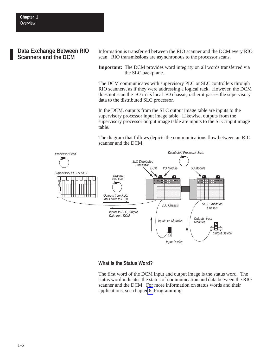#### <span id="page-19-0"></span>**Data Exchange Between RIO Scanners and the DCM**

Information is transferred between the RIO scanner and the DCM every RIO scan. RIO transmissions are asynchronous to the processor scans.

**Important:** The DCM provides word integrity on all words transferred via the SLC backplane.

The DCM communicates with supervisory PLC or SLC controllers through RIO scanners, as if they were addressing a logical rack. However, the DCM does not scan the I/O in its local I/O chassis, rather it passes the supervisory data to the distributed SLC processor.

In the DCM, outputs from the SLC output image table are inputs to the supervisory processor input image table. Likewise, outputs from the supervisory processor output image table are inputs to the SLC input image table.

The diagram that follows depicts the communications flow between an RIO scanner and the DCM.



#### **What Is the Status Word?**

The first word of the DCM input and output image is the status word. The status word indicates the status of communication and data between the RIO scanner and the DCM. For more information on status words and their applications, see chapte[r 6,](#page-42-1) Programming.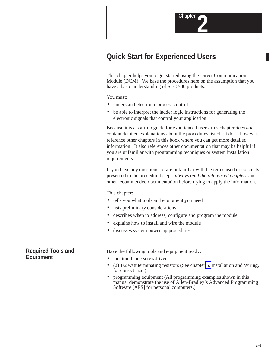### <span id="page-20-1"></span><span id="page-20-0"></span>**Quick Start for Experienced Users**

This chapter helps you to get started using the Direct Communication Module (DCM). We base the procedures here on the assumption that you have a basic understanding of SLC 500 products.

You must:

- understand electronic process control
- be able to interpret the ladder logic instructions for generating the electronic signals that control your application

Because it is a start-up guide for experienced users, this chapter *does not* contain detailed explanations about the procedures listed. It does, however, reference other chapters in this book where you can get more detailed information. It also references other documentation that may be helpful if you are unfamiliar with programming techniques or system installation requirements.

If you have any questions, or are unfamiliar with the terms used or concepts presented in the procedural steps, *always read the referenced chapters* and other recommended documentation before trying to apply the information.

This chapter:

- tells you what tools and equipment you need
- lists preliminary considerations
- describes when to address, configure and program the module
- explains how to install and wire the module
- discusses system power-up procedures

Have the following tools and equipment ready:

- medium blade screwdriver
- (2) 1/2 watt terminating resistors (See chapter [5,](#page-38-1) Installation and Wiring, for correct size.)
- programming equipment (All programming examples shown in this manual demonstrate the use of Allen-Bradley's Advanced Programming Software [APS] for personal computers.)

**Required Tools and Equipment**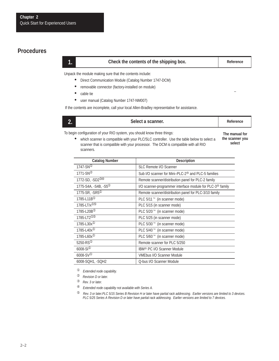#### <span id="page-21-0"></span>**Procedures**

#### **1. Check the contents of the shipping box. Reference**

–

Unpack the module making sure that the contents include:

- Direct Communication Module (Catalog Number 1747-DCM)
- removable connector (factory-installed on module)
- cable tie
- user manual (Catalog Number 1747-NM007)

If the contents are incomplete, call your local Allen-Bradley representative for assistance.

#### **2. 2. Reference**

which scanner is compatible with your PLC/SLC controller. Use the table below to select a scanner that is compatible with your processor. The DCM is compatible with all RIO

To begin configuration of your RIO system, you should know three things:

**The manual for the scanner you select**

| scanners.                      |                                                                       |
|--------------------------------|-----------------------------------------------------------------------|
| <b>Catalog Number</b>          | <b>Description</b>                                                    |
| $1747-SN^{\odot}$              | SLC Remote I/O Scanner                                                |
| $1771-SN^{\circledcirc}$       | Sub I/O scanner for Mini-PLC-2 <sup>®</sup> and PLC-5 families        |
| 1772-SD, -SD2®®                | Remote scanner/distribution panel for PLC-2 family                    |
| 1775-S4A, -S4B, -S5 $^{\circ}$ | I/O scanner-programmer interface module for PLC-3 <sup>®</sup> family |
| 1775-SR, -SR5 $0$              | Remote scanner/distribution panel for PLC-3/10 family                 |
| 1785-L11B <sup>①</sup>         | PLC 5/11 <sup>™</sup> (in scanner mode)                               |
| 1785-LT/ $x^{\text{OS}}$       | PLC 5/15 (in scanner mode)                                            |
| 1785-L20B <sup>®</sup>         | PLC 5/20 <sup>™</sup> (in scanner mode)                               |
| $1785 - L T 200$               | PLC 5/25 (in scanner mode)                                            |
| 1785-L30 $x^{\circledR}$       | PLC 5/30 <sup>™</sup> (in scanner mode)                               |
| 1785-L40x <sup>10</sup>        | PLC 5/40 <sup>™</sup> (in scanner mode)                               |
| 1785-L60x <sup>①</sup>         | PLC 5/60 <sup>™</sup> (in scanner mode)                               |
| 5250-RS $\rm{^{0}}$            | Remote scanner for PLC 5/250                                          |
| $6008-S1^{\circ}$              | IBM <sup>®</sup> PC I/O Scanner Module                                |
| $6008-SV①$                     | <b>VMEbus I/O Scanner Module</b>                                      |
| 6008-SQH1, -SQH2               | Q-bus I/O Scanner Module                                              |

➀ *Extended node capability.*

<sup>➁</sup> *Revision D or later.*

<sup>➂</sup> *Rev. 3 or later.*

➃ *Extended node capability not available with Series A.*

➄ *Rev. 3 or later.PLC 5/15 Series B Revision H or later have partial rack addressing. Earlier versions are limited to 3 devices. PLC 5/25 Series A Revision D or later have partial rack addressing. Earlier versions are limited to 7 devices.*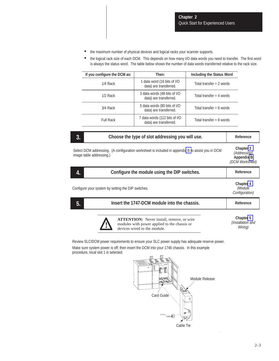- the maximum number of physical devices and logical racks your scanner supports.
- the logical rack size of each DCM. This depends on how many I/O data words you need to transfer. The first word is always the status word. The table below shows the number of data words transferred relative to the rack size.

| If you configure the DCM as: | Then:                                                   | Including the Status Word  |
|------------------------------|---------------------------------------------------------|----------------------------|
| 1/4 Rack                     | 1 data word (16 bits of I/O<br>data) are transferred.   | Total transfer $= 2$ words |
| $1/2$ Rack                   | 3 data words (48 bits of I/O<br>data) are transferred.  | Total transfer = 4 words   |
| 3/4 Rack                     | 5 data words (80 bits of I/O<br>data) are transferred.  | Total transfer = 6 words   |
| <b>Full Rack</b>             | 7 data words (112 bits of I/O<br>data) are transferred. | Total transfer = $8$ words |

| 3.<br>Choose the type of slot addressing you will use.                                                                       | Reference                                                         |
|------------------------------------------------------------------------------------------------------------------------------|-------------------------------------------------------------------|
| Select DCM addressing. (A configuration worksheet is included in appendix B to assist you in DCM<br>image table addressing.) | Chapter 3<br>(Addressing)<br><b>Appendix B</b><br>(DCM Worksheet) |
| Configure the module using the DIP switches.<br>4.                                                                           | Reference                                                         |
| Configure your system by setting the DIP switches.                                                                           | <b>Chapter 4</b><br>(Module<br>Configuration)                     |
| Insert the 1747-DCM module into the chassis.<br>5.                                                                           | Reference                                                         |
|                                                                                                                              |                                                                   |



**ATTENTION:** Never install, remove, or wire modules with power applied to the chassis or devices wired to the module. **!**

**Chapte[r 5](#page-38-1)** *(Installation and Wiring)*

Review SLC/DCM power requirements to ensure your SLC power supply has adequate reserve power.

Make sure system power is off; then insert the DCM into your 1746 chassis. In this example procedure, local slot 1 is selected.

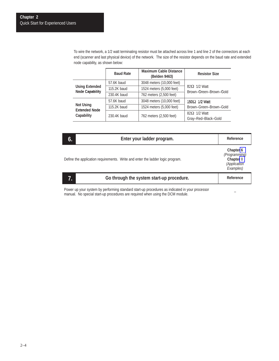To wire the network, a 1/2 watt terminating resistor must be attached across line 1 and line 2 of the connectors at each end (scanner and last physical device) of the network. The size of the resistor depends on the baud rate and extended node capability, as shown below:

|                                                        | <b>Baud Rate</b> | <b>Maximum Cable Distance</b><br>(Belden 9463) | <b>Resistor Size</b>                          |  |
|--------------------------------------------------------|------------------|------------------------------------------------|-----------------------------------------------|--|
|                                                        | 57.6K baud       | 3048 meters (10,000 feet)                      |                                               |  |
| <b>Using Extended</b><br><b>Node Capability</b>        | 115.2K baud      | 1524 meters (5,000 feet)                       | $82\Omega$ 1/2 Watt<br>Brown-Green-Brown-Gold |  |
|                                                        | 230.4K baud      | 762 meters (2,500 feet)                        |                                               |  |
|                                                        | 57.6K baud       | 3048 meters (10,000 feet)                      | $150\Omega$ 1/2 Watt                          |  |
| <b>Not Using</b><br><b>Extended Node</b><br>Capability | 115.2K baud      | 1524 meters (5,000 feet)                       | Brown-Green-Brown-Gold                        |  |
|                                                        | 230.4K baud      | 762 meters (2,500 feet)                        | $82\Omega$ 1/2 Watt                           |  |
|                                                        |                  |                                                | Gray-Red-Black-Gold                           |  |

| 6. | Enter your ladder program.                                                     | Reference                                                            |
|----|--------------------------------------------------------------------------------|----------------------------------------------------------------------|
|    | Define the application requirements. Write and enter the ladder logic program. | Chapter 6<br>(Programming)<br>Chapter 8<br>(Application<br>Examples) |
| 7. | Go through the system start-up procedure.                                      | Reference                                                            |

Power up your system by performing standard start-up procedures as indicated in your processor manual. No special start-up procedures are required when using the DCM module.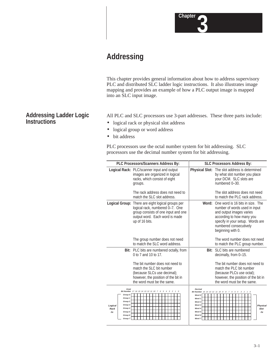

### **Addressing**

This chapter provides general information about how to address supervisory PLC and distributed SLC ladder logic instructions. It also illustrates image mapping and provides an example of how a PLC output image is mapped into an SLC input image.

All PLC and SLC processors use 3-part addresses. These three parts include:

- logical rack or physical slot address
- logical group or word address
- bit address

PLC processors use the octal number system for bit addressing. SLC processors use the decimal number system for bit addressing.

|                                                                                                                                      | PLC Processors/Scanners Address By:                                                                                                                                             | <b>SLC Processors Address By:</b>                                                              |                                                                                                                                                                                                               |  |  |
|--------------------------------------------------------------------------------------------------------------------------------------|---------------------------------------------------------------------------------------------------------------------------------------------------------------------------------|------------------------------------------------------------------------------------------------|---------------------------------------------------------------------------------------------------------------------------------------------------------------------------------------------------------------|--|--|
|                                                                                                                                      | Logical Rack: PLC/scanner input and output<br>images are organized in logical<br>racks, which consist of eight<br>groups.                                                       |                                                                                                | <b>Physical Slot:</b> The slot address is determined<br>by what slot number you place<br>your DCM. SLC slots are<br>numbered 0-30.                                                                            |  |  |
|                                                                                                                                      | The rack address does not need to<br>match the SLC slot address.                                                                                                                |                                                                                                | The slot address does not need<br>to match the PLC rack address.                                                                                                                                              |  |  |
|                                                                                                                                      | Logical Group: There are eight logical groups per<br>logical rack, numbered 0-7. One<br>group consists of one input and one<br>output word. Each word is made<br>up of 16 bits. | Word·                                                                                          | One word is 16 bits in size. The<br>number of words used in input<br>and output images varies<br>according to how many you<br>specify in your setup. Words are<br>numbered consecutively<br>beginning with 0. |  |  |
|                                                                                                                                      | The group number does not need<br>to match the SLC word address.                                                                                                                |                                                                                                | The word number does not need<br>to match the PLC group number.                                                                                                                                               |  |  |
|                                                                                                                                      | Bit: PLC bits are numbered octally, from<br>0 to 7 and 10 to 17.                                                                                                                |                                                                                                | <b>Bit:</b> SLC bits are numbered<br>decimally, from 0-15.                                                                                                                                                    |  |  |
|                                                                                                                                      | The bit number does not need to<br>match the SLC bit number<br>(because SLCs use decimal);<br>however, the position of the bit in<br>the word must be the same.                 |                                                                                                | The bit number does not need to<br>match the PLC bit number<br>(because PLCs use octal);<br>however, the position of the bit in<br>the word must be the same.                                                 |  |  |
| Octal<br>Group 0<br>Group 1<br>Group <sub>2</sub><br>Group 3<br>Logical<br>Group 4<br>Rack<br>Group 5<br>$\#x$<br>Group 6<br>Group 7 | Bit Number 17 16 15 14 13 12 11 10 7 6 5 4 3 2<br>$\mathcal{I}$                                                                                                                 | <b>Decimal</b><br>Word 0<br>Word 1<br>Word 2<br>Word 3<br>Word 4<br>Word 5<br>Word 6<br>Word 7 | Bit Number 15 14 13 12 11 10 9 8 7 6 5 4<br>3 2 1 0<br><b>Physical</b><br>Slot<br>$\#x$                                                                                                                       |  |  |

#### <span id="page-24-1"></span><span id="page-24-0"></span>**Addressing Ladder Logic Instructions**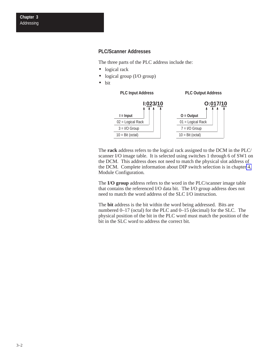#### <span id="page-25-0"></span>**PLC/Scanner Addresses**

The three parts of the PLC address include the:

- logical rack
- logical group (I/O group)
- bit



The **rack** address refers to the logical rack assigned to the DCM in the PLC/ scanner I/O image table. It is selected using switches 1 through 6 of SW1 on the DCM. This address does not need to match the physical slot address of the DCM. Complete information about DIP switch selection is in chapter [4,](#page-30-1) Module Configuration*.*

The **I/O group** address refers to the word in the PLC/scanner image table that contains the referenced I/O data bit. The I/O group address does not need to match the word address of the SLC I/O instruction.

The **bit** address is the bit within the word being addressed. Bits are numbered 0–17 (octal) for the PLC and 0–15 (decimal) for the SLC. The physical position of the bit in the PLC word must match the position of the bit in the SLC word to address the correct bit.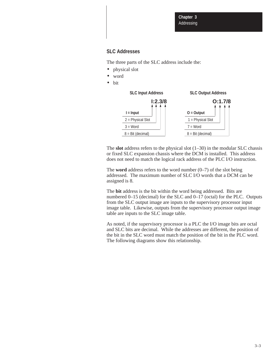#### <span id="page-26-0"></span>**SLC Addresses**

The three parts of the SLC address include the:

- physical slot
- word
- bit



The **slot** address refers to the physical slot (1–30) in the modular SLC chassis or fixed SLC expansion chassis where the DCM is installed. This address does not need to match the logical rack address of the PLC I/O instruction.

The **word** address refers to the word number  $(0-7)$  of the slot being addressed. The maximum number of SLC I/O words that a DCM can be assigned is 8.

The **bit** address is the bit within the word being addressed. Bits are numbered 0–15 (decimal) for the SLC and 0–17 (octal) for the PLC. Outputs from the SLC output image are inputs to the supervisory processor input image table. Likewise, outputs from the supervisory processor output image table are inputs to the SLC image table.

As noted, if the supervisory processor is a PLC the I/O image bits are octal and SLC bits are decimal. While the addresses are different, the position of the bit in the SLC word must match the position of the bit in the PLC word. The following diagrams show this relationship.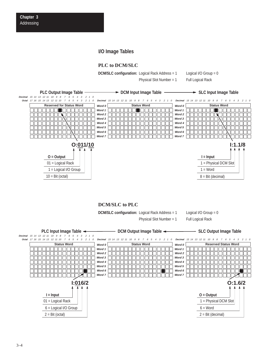#### **I/O Image Tables**

#### **PLC to DCM/SLC**

**DCM/SLC configuration:** Logical Rack Address = 1

Physical Slot Number = 1

Logical I/O Group = 0 Full Logical Rack

<span id="page-27-0"></span>

#### **DCM/SLC to PLC**

**DCM/SLC configuration:** Logical Rack Address = 1

Physical Slot Number = 1

Logical I/O Group = 0

Full Logical Rack

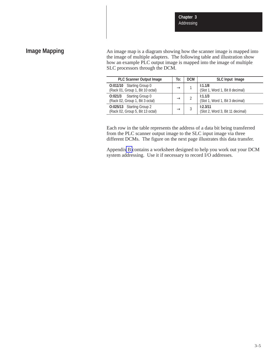#### <span id="page-28-0"></span>**Image Mapping**

An image map is a diagram showing how the scanner image is mapped into the image of multiple adapters. The following table and illustration show how an example PLC output image is mapped into the image of multiple SLC processors through the DCM.

| <b>PLC Scanner Output Image</b>                                    | To:           | <b>DCM</b> | SLC Input Image                              |
|--------------------------------------------------------------------|---------------|------------|----------------------------------------------|
| O:011/10 Starting Group 0<br>(Rack 01, Group 1, Bit 10 octal)      | $\rightarrow$ |            | 1:1.1/8<br>(Slot 1, Word 1, Bit 8 decimal)   |
| <b>O:021/3</b> Starting Group 0<br>(Rack 02, Group 1, Bit 3 octal) | $\rightarrow$ |            | 1:1.1/3<br>(Slot 1, Word 1, Bit 3 decimal)   |
| O:025/13 Starting Group 2<br>(Rack 02, Group 5, Bit 13 octal)      | $\rightarrow$ |            | 1:2.3/11<br>(Slot 2, Word 3, Bit 11 decimal) |

Each row in the table represents the address of a data bit being transferred from the PLC scanner output image to the SLC input image via three different DCMs. The figure on the next page illustrates this data transfer.

Appendi[x B](#page-66-1) contains a worksheet designed to help you work out your DCM system addressing. Use it if necessary to record I/O addresses.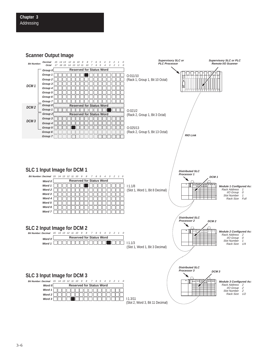**Scanner Output Image**

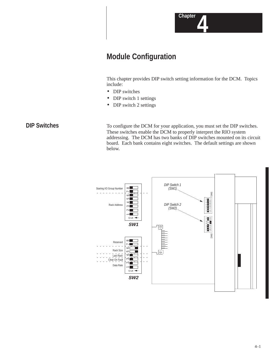

### <span id="page-30-1"></span><span id="page-30-0"></span>**Module Configuration**

This chapter provides DIP switch setting information for the DCM. Topics include:

- DIP switches
- DIP switch 1 settings
- DIP switch 2 settings

#### **DIP Switches**

To configure the DCM for your application, you must set the DIP switches. These switches enable the DCM to properly interpret the RIO system addressing. The DCM has two banks of DIP switches mounted on its circuit board. Each bank contains eight switches. The default settings are shown below.

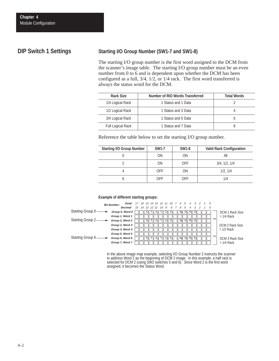#### <span id="page-31-1"></span><span id="page-31-0"></span>**DIP Switch 1 Settings**

#### **Starting I/O Group Number (SW1-7 and SW1-8)**

The starting I/O group number is the first word assigned to the DCM from the scanner's image table. The starting I/O group number must be an even number from 0 to 6 and is dependent upon whether the DCM has been configured as a full, 3/4, 1/2, or 1/4 rack. The first word transferred is always the status word for the DCM.

| Rack Size         | Number of RIO Words Transferred | <b>Total Words</b> |
|-------------------|---------------------------------|--------------------|
| 1/4 Logical Rack  | 1 Status and 1 Data             |                    |
| 1/2 Logical Rack  | 1 Status and 3 Data             |                    |
| 3/4 Logical Rack  | 1 Status and 5 Data             |                    |
| Full Logical Rack | 1 Status and 7 Data             |                    |

Reference the table below to set the starting I/O group number.

| <b>Starting I/O Group Number</b> | <b>SW1-7</b> | <b>SW1-8</b> | <b>Valid Rack Configuration</b> |
|----------------------------------|--------------|--------------|---------------------------------|
|                                  | ΟN           | ΟN           | Αll                             |
|                                  | ΟN           | <b>OFF</b>   | 3/4, 1/2, 1/4                   |
|                                  | <b>OFF</b>   | ΟN           | 1/2, 1/4                        |
|                                  | OFF          | <b>OFF</b>   | 1/4                             |

#### **Example of different starting groups:**



In the above image map example, selecting I/O Group Number 2 instructs the scanner to address Word 2 as the beginning of DCM 2 image. In this example, a half rack is selected for DCM 2 (using SW2 switches 5 and 6). Since Word 2 is the first word assigned, it becomes the Status Word.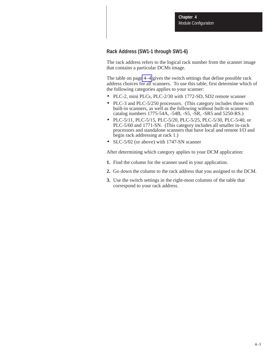#### <span id="page-32-0"></span>**Rack Address (SW1-1 through SW1-6)**

The rack address refers to the logical rack number from the scanner image that contains a particular DCMs image.

The table on pag[e 4–4](#page-33-0) gives the switch settings that define possible rack address choices for all scanners. To use this table, first determine which of the following categories applies to your scanner:

- PLC-2, mini PLCs, PLC-2/30 with 1772-SD, SD2 remote scanner
- PLC-3 and PLC-5/250 processors. (This category includes those with built-in scanners, as well as the following without built-in scanners: catalog numbers 1775-54A, -54B, -S5, -SR, -SR5 and 5250-RS.)
- PLC-5/11, PLC-5/15, PLC-5/20, PLC-5/25, PLC-5/30, PLC-5/40, or PLC-5/60 and 1771-SN. (This category includes all smaller in-rack processors and standalone scanners that have local and remote I/O and begin rack addressing at rack 1.)
- SLC-5/02 (or above) with 1747-SN scanner

After determining which category applies to your DCM application:

- **1.** Find the column for the scanner used in your application.
- **2.** Go down the column to the rack address that you assigned to the DCM.
- **3.** Use the switch settings in the right-most columns of the table that correspond to your rack address.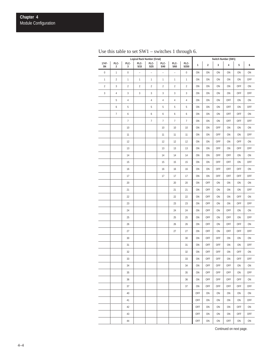|                | Logical Rack Number (Octal)     |                  |                |                  |                |                          | Switch Number (SW1) |     |                  |             |           |     |     |
|----------------|---------------------------------|------------------|----------------|------------------|----------------|--------------------------|---------------------|-----|------------------|-------------|-----------|-----|-----|
| $1747 -$<br>SN | PLC-<br>$\overline{\mathbf{c}}$ | PLC-<br>3        | PLC-<br>5/15   | PLC-<br>5/25     | PLC-<br>$5/40$ | PLC-<br>$5/60$           | PLC-<br>5/250       | 1   | $\boldsymbol{2}$ | $\mathbf 3$ | $\pmb{4}$ | 5   | 6   |
| $\pmb{0}$      | $\mathbf{1}$                    | $\boldsymbol{0}$ | $\overline{a}$ | $\overline{a}$   | $\frac{1}{2}$  | $\overline{\phantom{a}}$ | $\boldsymbol{0}$    | ON  | ON               | ON          | ON        | ON  | ON  |
| $\mathbf{1}$   | $\overline{2}$                  | $\mathbf{1}$     | $\mathbf{1}$   | $\mathbf{1}$     | $\mathbf{1}$   | $\mathbf{1}$             | $\mathbf{1}$        | ON  | ON               | ON          | ON        | ON  | OFF |
| $\overline{c}$ | $\sqrt{3}$                      | $\overline{c}$   | $\overline{2}$ | $\sqrt{2}$       | $\overline{c}$ | $\overline{2}$           | $\overline{2}$      | ON  | ON               | ON          | ON        | OFF | ON  |
| $\mathbf{3}$   | $\sqrt{4}$                      | $\sqrt{3}$       | $\mathbf{3}$   | 3                | 3              | $\sqrt{3}$               | $\sqrt{3}$          | ON  | ON               | ON          | ON        | OFF | OFF |
|                | $\,$ 5                          | $\sqrt{4}$       |                | $\sqrt{4}$       | $\sqrt{4}$     | $\overline{4}$           | $\sqrt{4}$          | ON  | ON               | ON          | OFF       | ON  | ON  |
|                | 6                               | 5                |                | $\sqrt{5}$       | 5              | 5                        | 5                   | ON  | ON               | ON          | OFF       | ON  | OFF |
|                | $\boldsymbol{7}$                | 6                |                | 6                | 6              | 6                        | 6                   | ON  | ON               | ON          | OFF       | OFF | ON  |
|                |                                 | $\boldsymbol{7}$ |                | $\boldsymbol{7}$ | $\overline{7}$ | $\boldsymbol{7}$         | $\boldsymbol{7}$    | ON  | ON               | ON          | OFF       | OFF | OFF |
|                |                                 | 10               |                |                  | 10             | $10$                     | 10                  | ON  | ON               | OFF         | ON        | ON  | ON  |
|                |                                 | 11               |                |                  | 11             | 11                       | 11                  | ON  | ON               | OFF         | ON        | ON  | OFF |
|                |                                 | 12               |                |                  | 12             | 12                       | 12                  | ON  | ON               | OFF         | ON        | OFF | ON  |
|                |                                 | 13               |                |                  | 13             | 13                       | 13                  | ON  | ON               | OFF         | ON        | OFF | OFF |
|                |                                 | 14               |                |                  | 14             | 14                       | 14                  | ON  | ON               | OFF         | OFF       | ON  | ON  |
|                |                                 | 15               |                |                  | 15             | 15                       | 15                  | ON  | ON               | OFF         | OFF       | ON  | OFF |
|                |                                 | 16               |                |                  | 16             | 16                       | 16                  | ON  | ON               | OFF         | OFF       | OFF | ON  |
|                |                                 | 17               |                |                  | 17             | 17                       | 17                  | ON  | ON               | OFF         | OFF       | OFF | OFF |
|                |                                 | 20               |                |                  |                | 20                       | $20\,$              | ON  | OFF              | ON          | ON        | ON  | ON  |
|                |                                 | 21               |                |                  |                | 21                       | 21                  | ON  | OFF              | ON          | ON        | ON  | OFF |
|                |                                 | 22               |                |                  |                | 22                       | 22                  | ON  | OFF              | ON          | ON        | OFF | ON  |
|                |                                 | 23               |                |                  |                | 23                       | 23                  | ON  | OFF              | ON          | ON        | OFF | OFF |
|                |                                 | 24               |                |                  |                | 24                       | 24                  | ON  | OFF              | ON          | OFF       | ON  | ON  |
|                |                                 | 25               |                |                  |                | 25                       | 25                  | ON  | OFF              | ON          | OFF       | ON  | OFF |
|                |                                 | 26               |                |                  |                | 26                       | 26                  | ON  | OFF              | ON          | OFF       | OFF | ON  |
|                |                                 | 27               |                |                  |                | 27                       | 27                  | ON  | OFF              | ON          | OFF       | OFF | OFF |
|                |                                 | $30\,$           |                |                  |                |                          | 30                  | ON  | OFF              | OFF         | ON        | ON  | ON  |
|                |                                 | 31               |                |                  |                |                          | 31                  | ON  | OFF              | OFF         | ON        | ON  | OFF |
|                |                                 | 32               |                |                  |                |                          | 32                  | ON  | OFF              | OFF         | ON        | OFF | ON  |
|                |                                 | 33               |                |                  |                |                          | 33                  | ON  | OFF              | OFF         | ON        | OFF | OFF |
|                |                                 | 34               |                |                  |                |                          | 34                  | ON  | OFF              | OFF         | OFF       | ON  | ON  |
|                |                                 | 35               |                |                  |                |                          | 35                  | ON  | OFF              | <b>OFF</b>  | OFF       | ON  | OFF |
|                |                                 | 36               |                |                  |                |                          | 36                  | ON  | OFF              | OFF         | OFF       | OFF | ON  |
|                |                                 | 37               |                |                  |                |                          | 37                  | ON  | OFF              | OFF         | OFF       | OFF | OFF |
|                |                                 | 40               |                |                  |                |                          |                     | OFF | ON               | ON          | ON        | ON  | ON  |
|                |                                 | 41               |                |                  |                |                          |                     | OFF | ON               | ON          | ON        | ON  | OFF |
|                |                                 | 42               |                |                  |                |                          |                     | OFF | ON               | ON          | ON        | OFF | ON  |
|                |                                 | 43               |                |                  |                |                          |                     | OFF | ON               | ON          | ON        | OFF | OFF |
|                |                                 | 44               |                |                  |                |                          |                     | OFF | ON               | ON          | OFF       | ON  | ON  |

<span id="page-33-0"></span>Use this table to set SW1 – switches 1 through 6.

Continued on next page.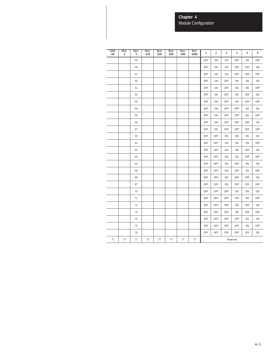**Chapter 4** Module Configuration

| $1747 -$<br>SN | PLC-<br>$\overline{2}$ | PLC-<br>3 | PLC-<br>5/15 | PLC-<br>5/25 | PLC-<br>5/40 | PLC-<br>5/60 | PLC-<br>5/250 | $\mathbf{1}$ | $\overline{\mathbf{2}}$ | $\sqrt{3}$ | 4   | 5   | 6          |
|----------------|------------------------|-----------|--------------|--------------|--------------|--------------|---------------|--------------|-------------------------|------------|-----|-----|------------|
|                |                        | 45        |              |              |              |              |               | OFF          | ON                      | ON         | OFF | ON  | <b>OFF</b> |
|                |                        | 46        |              |              |              |              |               | OFF          | ON                      | ON         | OFF | OFF | ON         |
|                |                        | 47        |              |              |              |              |               | OFF          | ON                      | ON         | OFF | OFF | OFF        |
|                |                        | 50        |              |              |              |              |               | OFF          | ON                      | OFF        | ON  | ON  | ON         |
|                |                        | 51        |              |              |              |              |               | OFF          | ON                      | OFF        | ON  | ON  | <b>OFF</b> |
|                |                        | 52        |              |              |              |              |               | OFF          | ON                      | OFF        | ON  | OFF | ON         |
|                |                        | 53        |              |              |              |              |               | OFF          | ON                      | OFF        | ON  | OFF | OFF        |
|                |                        | 54        |              |              |              |              |               | OFF          | ON                      | OFF        | OFF | ON  | ON         |
|                |                        | 55        |              |              |              |              |               | OFF          | ON                      | OFF        | OFF | ON  | OFF        |
|                |                        | 56        |              |              |              |              |               | OFF          | ON                      | OFF        | OFF | OFF | ON         |
|                |                        | 57        |              |              |              |              |               | OFF          | ON                      | OFF        | OFF | OFF | OFF        |
|                |                        | 60        |              |              |              |              |               | OFF          | OFF                     | ON         | ON  | ON  | ON         |
|                |                        | 61        |              |              |              |              |               | OFF          | OFF                     | ON         | ON  | ON  | <b>OFF</b> |
|                |                        | 62        |              |              |              |              |               | OFF          | OFF                     | ON         | ON  | OFF | ON         |
|                |                        | 63        |              |              |              |              |               | OFF          | OFF                     | ON         | ON  | OFF | <b>OFF</b> |
|                |                        | 64        |              |              |              |              |               | OFF          | OFF                     | ON         | OFF | ON  | ON         |
|                |                        | 65        |              |              |              |              |               | OFF          | OFF                     | ON         | OFF | ON  | OFF        |
|                |                        | 66        |              |              |              |              |               | OFF          | OFF                     | ON         | OFF | OFF | ON         |
|                |                        | 67        |              |              |              |              |               | OFF          | OFF                     | ON         | OFF | OFF | OFF        |
|                |                        | 70        |              |              |              |              |               | OFF          | OFF                     | OFF        | ON  | ON  | ON         |
|                |                        | 71        |              |              |              |              |               | OFF          | OFF                     | OFF        | ON  | ON  | OFF        |
|                |                        | 72        |              |              |              |              |               | OFF          | OFF                     | OFF        | ON  | OFF | ON         |
|                |                        | 73        |              |              |              |              |               | OFF          | OFF                     | OFF        | ON  | OFF | <b>OFF</b> |
|                |                        | 74        |              |              |              |              |               | OFF          | OFF                     | OFF        | OFF | ON  | ON         |
|                |                        | 75        |              |              |              |              |               | OFF          | OFF                     | OFF        | OFF | ON  | <b>OFF</b> |
|                |                        | 76        |              |              |              |              |               | OFF          | OFF                     | OFF        | OFF | OFF | ON         |
| 77             | 77                     | 77        | 77           | 77           | 77           | 77           | 77            | Reserved     |                         |            |     |     |            |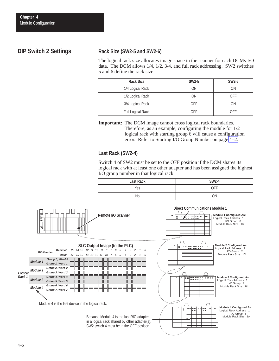#### <span id="page-35-0"></span>**DIP Switch 2 Settings**

#### **Rack Size (SW2-5 and SW2-6)**

The logical rack size allocates image space in the scanner for each DCMs I/O data. The DCM allows 1/4, 1/2, 3/4, and full rack addressing. SW2 switches 5 and 6 define the rack size.

| <b>Rack Size</b>  | <b>SW2-5</b> | <b>SW2-6</b> |
|-------------------|--------------|--------------|
| 1/4 Logical Rack  | ΟN           | <b>ON</b>    |
| 1/2 Logical Rack  | <b>ON</b>    | <b>OFF</b>   |
| 3/4 Logical Rack  | <b>OFF</b>   | <b>ON</b>    |
| Full Logical Rack | <b>OFF</b>   | OFF          |

**Important:** The DCM image cannot cross logical rack boundaries. Therefore, as an example, configuring the module for 1/2 logical rack with starting group 6 will cause a configuration error. Refer to Starting I/O Group Number on page [4–2.](#page-31-1)

#### **Last Rack (SW2-4)**

Switch 4 of SW2 must be set to the OFF position if the DCM shares its logical rack with at least one other adapter and has been assigned the highest I/O group number in that logical rack.



SW2 switch 4 must be in the OFF position.

*Logical Rack 1*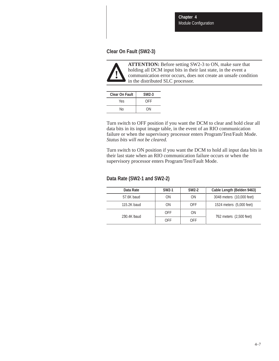**Chapter 4** Module Configuration

### **Clear On Fault (SW2-3)**



**ATTENTION:** Before setting SW2-3 to ON, make sure that holding all DCM input bits in their last state, in the event a communication error occurs, does not create an unsafe condition in the distributed SLC processor.

| <b>Clear On Fault</b> | $SW2-3$ |
|-----------------------|---------|
| Yes                   | OFF     |
| N٥                    | ΩN      |

Turn switch to OFF position if you want the DCM to clear and hold clear all data bits in its input image table, in the event of an RIO communication failure or when the supervisory processor enters Program/Test/Fault Mode. *Status bits will not be cleared.*

Turn switch to ON position if you want the DCM to hold all input data bits in their last state when an RIO communication failure occurs or when the supervisory processor enters Program/Test/Fault Mode.

#### **Data Rate (SW2-1 and SW2-2)**

| Data Rate   | <b>SW2-1</b> | <b>SW2-2</b> | Cable Length (Belden 9463) |
|-------------|--------------|--------------|----------------------------|
| 57.6K baud  | <b>ON</b>    | ON           | 3048 meters (10,000 feet)  |
| 115.2K baud | <b>ON</b>    | <b>OFF</b>   | 1524 meters (5,000 feet)   |
| 230.4K baud | <b>OFF</b>   | <b>ON</b>    | 762 meters (2,500 feet)    |
|             | <b>OFF</b>   | <b>OFF</b>   |                            |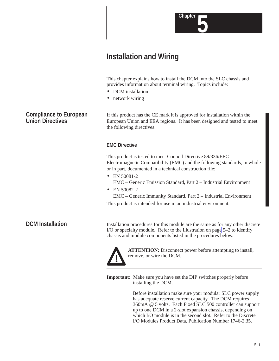

This chapter explains how to install the DCM into the SLC chassis and provides information about terminal wiring. Topics include:

**5 Chapter**

- DCM installation
- network wiring

If this product has the CE mark it is approved for installation within the European Union and EEA regions. It has been designed and tested to meet the following directives.

## **EMC Directive**

This product is tested to meet Council Directive 89/336/EEC Electromagnetic Compatibility (EMC) and the following standards, in whole or in part, documented in a technical construction file:

- EN 50081-2 EMC – Generic Emission Standard, Part 2 – Industrial Environment
- EN 50082-2

EMC – Generic Immunity Standard, Part 2 – Industrial Environment

This product is intended for use in an industrial environment.

## **DCM Installation**

Installation procedures for this module are the same as for any other discrete I/O or specialty module. Refer to the illustration on page [5–2](#page-39-0) to identify chassis and module components listed in the procedures below.



**ATTENTION:** Disconnect power before attempting to install, remove, or wire the DCM.

**Important:** Make sure you have set the DIP switches properly before installing the DCM.

> Before installation make sure your modular SLC power supply has adequate reserve current capacity. The DCM requires 360mA @ 5 volts. Each Fixed SLC 500 controller can support up to one DCM in a 2-slot expansion chassis, depending on which I/O module is in the second slot. Refer to the Discrete I/O Modules Product Data, Publication Number 1746-2.35.

# **Compliance to European Union Directives**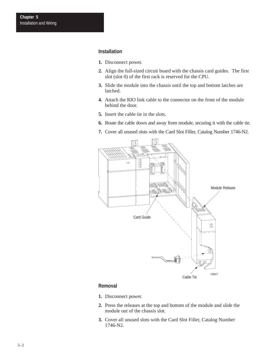#### <span id="page-39-0"></span>**Installation**

- **1.** Disconnect power.
- **2.** Align the full-sized circuit board with the chassis card guides. The first slot (slot 0) of the first rack is reserved for the CPU.
- **3.** Slide the module into the chassis until the top and bottom latches are latched.
- **4.** Attach the RIO link cable to the connector on the front of the module behind the door.
- **5.** Insert the cable tie in the slots.
- **6.** Route the cable down and away from module, securing it with the cable tie.
- **7.** Cover all unused slots with the Card Slot Filler, Catalog Number 1746-N2.



#### **Removal**

- **1.** Disconnect power.
- **2.** Press the releases at the top and bottom of the module and slide the module out of the chassis slot.
- **3.** Cover all unused slots with the Card Slot Filler, Catalog Number 1746-N2.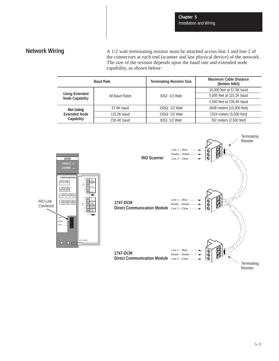# **Network Wiring**

A 1/2 watt terminating resistor must be attached across line 1 and line 2 of the connectors at each end (scanner and last physical device) of the network. The size of the resistor depends upon the baud rate and extended node capability, as shown below:

| <b>Baud Rate</b>                                |                | <b>Terminating Resistor Size</b> | <b>Maximum Cable Distance</b><br>(Belden 9463) |
|-------------------------------------------------|----------------|----------------------------------|------------------------------------------------|
|                                                 |                |                                  | 10,000 feet at 57.6K baud                      |
| <b>Using Extended</b><br><b>Node Capability</b> | All Baud Rates | $82\Omega$ 1/2 Watt              | 5,000 feet at 115.2K baud                      |
|                                                 |                |                                  | 2,500 feet at 230.4K baud                      |
| <b>Not Using</b>                                | 57.6K baud     | $150\Omega$ 1/2 Watt             | 3048 meters (10,000 feet)                      |
| <b>Extended Node</b><br>Capability              | 115.2K baud    | $150\Omega$ 1/2 Watt             | 1524 meters (5,000 feet)                       |
|                                                 | 230.4K baud    | $82\Omega$ 1/2 Watt              | 762 meters (2,500 feet)                        |

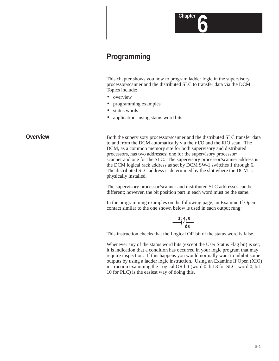# **Programming**

This chapter shows you how to program ladder logic in the supervisory processor/scanner and the distributed SLC to transfer data via the DCM. Topics include:

**6 Chapter**

- overview
- programming examples
- status words
- applications using status word bits

## **Overview**

Both the supervisory processor/scanner and the distributed SLC transfer data to and from the DCM automatically via their I/O and the RIO scan. The DCM, as a common memory site for both supervisory and distributed processors, has two addresses; one for the supervisory processor/ scanner and one for the SLC. The supervisory processor/scanner address is the DCM logical rack address as set by DCM SW-1 switches 1 through 6. The distributed SLC address is determined by the slot where the DCM is physically installed.

The supervisory processor/scanner and distributed SLC addresses can be different; however, the bit position part in each word must be the same.

In the programming examples on the following page, an Examine If Open contact similar to the one shown below is used in each output rung:

$$
\begin{array}{c}\n 1:4.0 \\
\hline\n -1/6\n \end{array}
$$

This instruction checks that the Logical OR bit of the status word is false.

Whenever any of the status word bits (except the User Status Flag bit) is set, it is indication that a condition has occurred in your logic program that may require inspection. If this happens you would normally want to inhibit some outputs by using a ladder logic instruction. Using an Examine If Open (XIO) instruction examining the Logical OR bit (word 0, bit 8 for SLC; word 0, bit 10 for PLC) is the easiest way of doing this.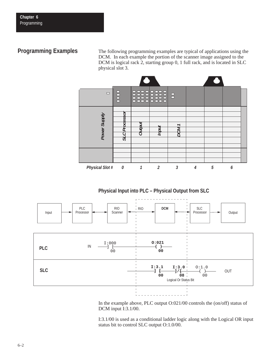# **Programming Examples**

The following programming examples are typical of applications using the DCM. In each example the portion of the scanner image assigned to the DCM is logical rack 2, starting group 0, 1 full rack, and is located in SLC physical slot 3.



## **Physical Input into PLC – Physical Output from SLC**



In the example above, PLC output O:021/00 controls the (on/off) status of DCM input I:3.1/00.

I:3.1/00 is used as a conditional ladder logic along with the Logical OR input status bit to control SLC output O:1.0/00.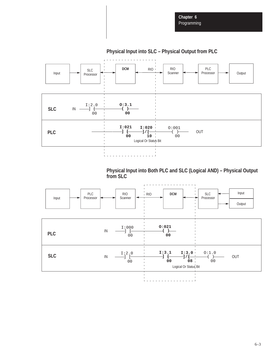# **Physical Input into SLC – Physical Output from PLC**



**Physical Input into Both PLC and SLC (Logical AND) – Physical Output from SLC**

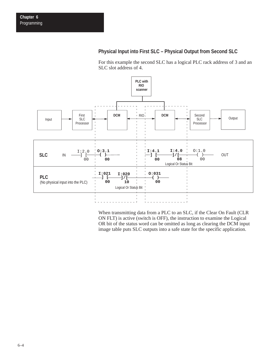## **Physical Input into First SLC – Physical Output from Second SLC**

For this example the second SLC has a logical PLC rack address of 3 and an SLC slot address of 4.



When transmitting data from a PLC to an SLC, if the Clear On Fault (CLR ON FLT) is active (switch is OFF), the instruction to examine the Logical OR bit of the status word can be omitted as long as clearing the DCM input image table puts SLC outputs into a safe state for the specific application.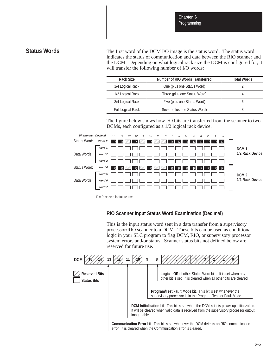## **Status Words**

The first word of the DCM I/O image is the status word. The status word indicates the status of communication and data between the RIO scanner and the DCM. Depending on what logical rack size the DCM is configured for, it will transfer the following number of I/O words:

| Rack Size         | Number of RIO Words Transferred | <b>Total Words</b> |
|-------------------|---------------------------------|--------------------|
| 1/4 Logical Rack  | One (plus one Status Word)      |                    |
| 1/2 Logical Rack  | Three (plus one Status Word)    |                    |
| 3/4 Logical Rack  | Five (plus one Status Word)     |                    |
| Full Logical Rack | Seven (plus one Status Word)    |                    |

The figure below shows how I/O bits are transferred from the scanner to two DCMs, each configured as a 1/2 logical rack device.



**R**= Reserved for future use

## **RIO Scanner Input Status Word Examination (Decimal)**

This is the input status word sent in a data transfer from a supervisory processor/RIO scanner to a DCM. These bits can be used as conditional logic in your SLC program to flag DCM, RIO, or supervisory processor system errors and/or status. Scanner status bits not defined below are reserved for future use.

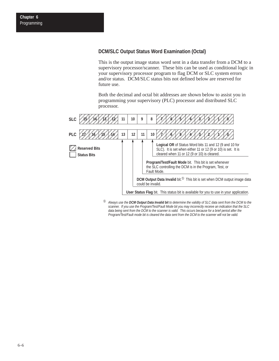## **DCM/SLC Output Status Word Examination (Octal)**

This is the output image status word sent in a data transfer from a DCM to a supervisory processor/scanner. These bits can be used as conditional logic in your supervisory processor program to flag DCM or SLC system errors and/or status. DCM/SLC status bits not defined below are reserved for future use.

Both the decimal and octal bit addresses are shown below to assist you in programming your supervisory (PLC) processor and distributed SLC processor.



<sup>➀</sup> *Always use the DCM Output Data Invalid bit to determine the validity of SLC data sent from the DCM to the scanner. If you use the Program/Test/Fault Mode bit you may incorrectly receive an indication that the SLC data being sent from the DCM to the scanner is valid. This occurs because for a brief period after the Program/Test/Fault mode bit is cleared the data sent from the DCM to the scanner will not be valid.*

**Chapter 6** Programming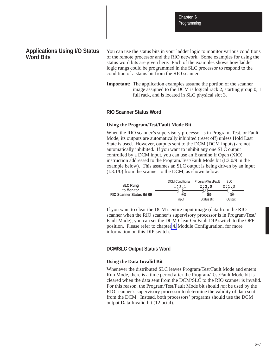**Chapter 6 Programming** 

## **Applications Using I/O Status Word Bits**

You can use the status bits in your ladder logic to monitor various conditions of the remote processor and the RIO network. Some examples for using the status word bits are given here. Each of the examples shows how ladder logic rungs could be programmed in the SLC processor to respond to the condition of a status bit from the RIO scanner.

**Important:** The application examples assume the portion of the scanner image assigned to the DCM is logical rack 2, starting group 0, 1 full rack, and is located in SLC physical slot 3.

#### **RIO Scanner Status Word**

#### **Using the Program/Test/Fault Mode Bit**

When the RIO scanner's supervisory processor is in Program, Test, or Fault Mode, its outputs are automatically inhibited (reset off) unless Hold Last State is used. However, outputs sent to the DCM (DCM inputs) are not automatically inhibited. If you want to inhibit any one SLC output controlled by a DCM input, you can use an Examine If Open (XIO) instruction addressed to the Program/Test/Fault Mode bit (I:3.0/9 in the example below). This assumes an SLC output is being driven by an input (I:3.1/0) from the scanner to the DCM, as shown below.

|                                                | <b>DCM Conditional</b> | Program/Test/Fault | SLC.   |  |
|------------------------------------------------|------------------------|--------------------|--------|--|
| <b>SLC Rung</b>                                | I:3.1                  | I:3.0              | 0:1.0  |  |
| to Monitor<br><b>RIO Scanner Status Bit 09</b> | 00                     | —1 / F-<br>09      | 00     |  |
|                                                | Input                  | <b>Status Bit</b>  | Output |  |

If you want to clear the DCM's entire input image (data from the RIO scanner when the RIO scanner's supervisory processor is in Program/Test/ Fault Mode), you can set the DCM Clear On Fault DIP switch to the OFF position. Please refer to chapte[r 4,](#page-30-0) Module Configuration, for more information on this DIP switch.

#### **DCM/SLC Output Status Word**

#### **Using the Data Invalid Bit**

Whenever the distributed SLC leaves Program/Test/Fault Mode and enters Run Mode, there is a time period after the Program/Test/Fault Mode bit is cleared when the data sent from the DCM/SLC to the RIO scanner is invalid. For this reason, the Program/Test/Fault Mode bit should *not* be used by the RIO scanner's supervisory processor to determine the validity of data sent from the DCM. Instead, both processors' programs should use the DCM output Data Invalid bit (12 octal).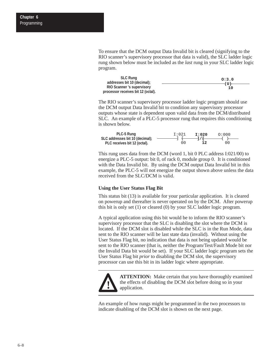**Chapter 6 Programming** 

> To ensure that the DCM output Data Invalid bit is cleared (signifying to the RIO scanner's supervisory processor that data is valid), the SLC ladder logic rung shown below must be included as the *last* rung in your SLC ladder logic program.

| <b>SLC Rung</b>                    | 0:3.0 |
|------------------------------------|-------|
| addresses bit 10 (decimal);        | (TT)  |
| <b>RIO Scanner</b> 's supervisory  | 10    |
| processor receives bit 12 (octal). |       |

The RIO scanner's supervisory processor ladder logic program should use the DCM output Data Invalid bit to condition any supervisory processor outputs whose state is dependent upon valid data from the DCM/distributed SLC. An example of a PLC-5 processor rung that requires this conditioning is shown below.

| PLC-5 Rung                      | I:021 | I:020  | 0:000 |
|---------------------------------|-------|--------|-------|
| SLC addresses bit 10 (decimal); |       | $-1/1$ |       |
| PLC receives bit 12 (octal).    | O O   | -12    | 00    |

This rung uses data from the DCM (word 1, bit 0 PLC address I:021/00) to energize a PLC-5 output: bit 0, of rack 0, module group 0. It is conditioned with the Data Invalid bit. By using the DCM output Data Invalid bit in this example, the PLC-5 will not energize the output shown above unless the data received from the SLC/DCM is valid.

#### **Using the User Status Flag Bit**

This status bit (13) is available for your particular application. It is cleared on powerup and thereafter is never operated on by the DCM. After powerup this bit is only set (1) or cleared (0) by your SLC ladder logic program.

A typical application using this bit would be to inform the RIO scanner's supervisory processor that the SLC is disabling the slot where the DCM is located. If the DCM slot is disabled while the SLC is in the Run Mode, data sent to the RIO scanner will be last state data (invalid). Without using the User Status Flag bit, no indication that data is not being updated would be sent to the RIO scanner (that is, neither the Program/Test/Fault Mode bit nor the Invalid Data bit would be set). If your SLC ladder logic program sets the User Status Flag bit *prior* to disabling the DCM slot, the supervisory processor can use this bit in its ladder logic where appropriate.



**ATTENTION:** Make certain that you have thoroughly examined the effects of disabling the DCM slot before doing so in your application.

An example of how rungs might be programmed in the two processors to indicate disabling of the DCM slot is shown on the next page.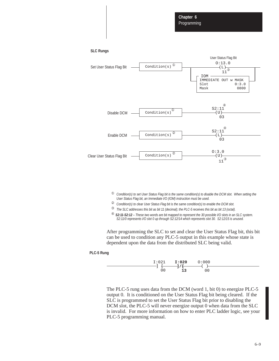```
SLC Rungs
```


- <sup>➀</sup> *Condition(s) to set User Status Flag bit is the same condition(s) to disable the DCM slot. When setting the User Status Flag bit, an Immediate I/O (IOM) instruction must be used.*
- <sup>➁</sup> *Condition(s) to clear User Status Flag bit is the same condition(s) to enable the DCM slot.*
- <sup>➂</sup> *The SLC addresses this bit as bit 11 (decimal); the PLC-5 receives this bit as bit 13 (octal).*
- <sup>➃</sup> *S2:11-S2:12 These two words are bit mapped to represent the 30 possible I/O slots in an SLC system. S2:11/0 represents I/O slot 0 up through S2:12/14 which represents slot 30. S2:12/15 is unused.*

After programming the SLC to set and clear the User Status Flag bit, this bit can be used to condition any PLC-5 output in this example whose state is dependent upon the data from the distributed SLC being valid.

#### **PLC-5 Rung**



The PLC-5 rung uses data from the DCM (word 1, bit 0) to energize PLC-5 output 0. It is conditioned on the User Status Flag bit being cleared. If the SLC is programmed to set the User Status Flag bit prior to disabling the DCM slot, the PLC-5 will never energize output 0 when data from the SLC is invalid. For more information on how to enter PLC ladder logic, see your PLC-5 programming manual.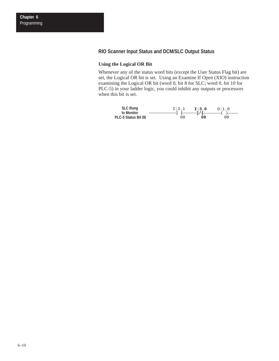## **RIO Scanner Input Status and DCM/SLC Output Status**

#### **Using the Logical OR Bit**

Whenever any of the status word bits (except the User Status Flag bit) are set, the Logical OR bit is set. Using an Examine If Open (XIO) instruction examining the Logical OR bit (word 0, bit 8 for SLC; word 0, bit 10 for PLC-5) in your ladder logic, you could inhibit any outputs or processors when this bit is set.

| <b>SLC Rung</b>     | I:3.1 | T:3.0  | O:1.0 |
|---------------------|-------|--------|-------|
| to Monitor          |       | $-1/4$ |       |
| PLC-5 Status Bit 08 | 00    | 08     | 00    |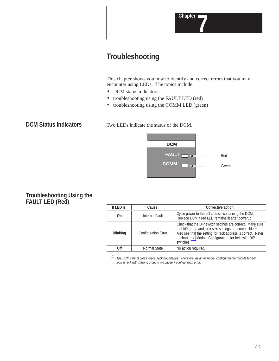

# **Troubleshooting**

This chapter shows you how to identify and correct errors that you may encounter using LEDs. The topics include:

- DCM status indicators
- troubleshooting using the FAULT LED (red)
- troubleshooting using the COMM LED (green)

**DCM Status Indicators**

Two LEDs indicate the status of the DCM.



## **Troubleshooting Using the FAULT LED (Red)**

| If LED is:      | Cause:                     | Corrective action:                                                                                                                                                                                                                                               |
|-----------------|----------------------------|------------------------------------------------------------------------------------------------------------------------------------------------------------------------------------------------------------------------------------------------------------------|
| On              | Internal Fault             | Cycle power to the I/O chassis containing the DCM.<br>Replace DCM if red LED remains lit after powerup.                                                                                                                                                          |
| <b>Blinking</b> | <b>Configuration Error</b> | Check that the DIP switch settings are correct. Make sure that I/O group and rack size settings are compatible. $^{\circ}$<br>Also see that the setting for rack address is correct. Refer<br>to chapter 4, Module Configuration, for help with DIP<br>switches. |
| <b>Off</b>      | Normal State               | No action required.                                                                                                                                                                                                                                              |

<sup>➀</sup> *The DCM cannot cross logical rack boundaries. Therefore, as an example, configuring the module for 1/2 logical rack with starting group 6 will cause a configuration error.*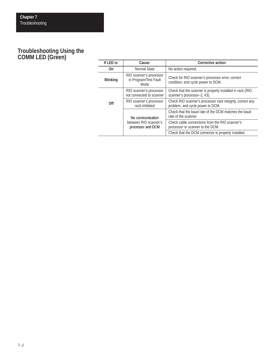# **Troubleshooting Using the COMM LED (Green)**

| If LED is:                                 | Cause:                                                                             | Corrective action:                                                                            |
|--------------------------------------------|------------------------------------------------------------------------------------|-----------------------------------------------------------------------------------------------|
| On                                         | Normal State                                                                       | No action required.                                                                           |
| <b>Blinking</b>                            | RIO scanner's processor<br>in Program/Test Fault<br>Mode                           | Check for RIO scanner's processor error, correct<br>condition, and cycle power to DCM.        |
|                                            | RIO scanner's processor<br>not connected to scanner                                | Check that the scanner is properly installed in rack (RIO<br>scanner's processor-2, #3).      |
| 0ff                                        | RIO scanner's processor<br>rack inhibited                                          | Check RIO scanner's processor rack integrity, correct any<br>problem, and cycle power to DCM. |
|                                            | No communication                                                                   | Check that the baud rate of the DCM matches the baud<br>rate of the scanner.                  |
| between RIO scanner's<br>processor and DCM | Check cable connections from the RIO scanner's<br>processor or scanner to the DCM. |                                                                                               |
|                                            |                                                                                    | Check that the DCM connector is properly installed.                                           |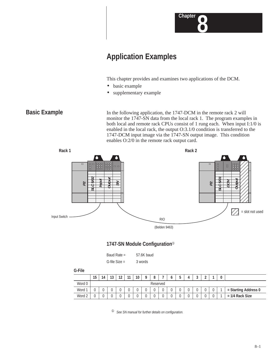

# **Application Examples**

This chapter provides and examines two applications of the DCM.

- basic example
- supplementary example

## **Basic Example**

In the following application, the 1747-DCM in the remote rack 2 will monitor the 1747-SN data from the local rack 1. The program examples in both local and remote rack CPUs consist of 1 rung each. When input I:1/0 is enabled in the local rack, the output O:3.1/0 condition is transferred to the 1747-DCM input image via the 1747-SN output image. This condition enables O:2/0 in the remote rack output card.



## **1747-SN Module Configuration**<sup>➀</sup>

| Baud Rate $=$ | 57.6K baud |  |
|---------------|------------|--|
|               |            |  |

| G-file $Size =$ | 3 words |
|-----------------|---------|
|                 |         |

| ۰.<br>$\sim$<br>$\sim$ |
|------------------------|
|------------------------|

|           | 15 | 14 | 19<br>IJ | $\sim$ | $\overline{A}$ | 10 |          |  | J | u |   |                      |
|-----------|----|----|----------|--------|----------------|----|----------|--|---|---|---|----------------------|
| Word 0    |    |    |          |        |                |    | Reserved |  |   |   |   |                      |
| Word 1    |    |    |          |        |                | v  |          |  |   |   |   | = Starting Address 0 |
| ി<br>Word |    |    |          |        |                | v  |          |  |   |   | ◡ | $= 1/4$ Rack Size    |

<sup>➀</sup> *See SN manual for further details on configuration.*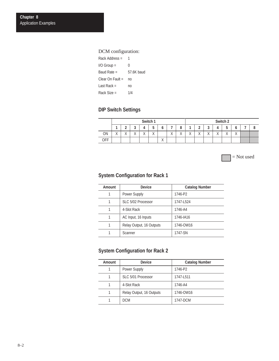## DCM configuration:

| Rack Address =   |            |
|------------------|------------|
| $I/O$ Group =    | 0          |
| Baud Rate $=$    | 57.6K baud |
| Clear On Fault = | no         |
| Last Rack =      | no         |
| Rack Size =      | 1/4        |

# **DIP Switch Settings**

|            |                           | Switch 1               |                        |                        |                           |                               |                           |                           |                           |                        | Switch 2                  |                        |                        |                         |   |  |  |  |
|------------|---------------------------|------------------------|------------------------|------------------------|---------------------------|-------------------------------|---------------------------|---------------------------|---------------------------|------------------------|---------------------------|------------------------|------------------------|-------------------------|---|--|--|--|
|            |                           | -                      | $\mathbf{\hat{}}$<br>◡ |                        | -<br>ັ                    | o                             | -                         | o<br>о                    |                           | $\sim$<br>-            | $\epsilon$<br>w           |                        | v                      | u                       | - |  |  |  |
| ON         | $\mathbf{v}$<br>$\lambda$ | $\lambda$<br>$\lambda$ | $\lambda$<br>$\lambda$ | $\sqrt{}$<br>$\lambda$ | $\mathbf{v}$<br>$\Lambda$ |                               | $\mathbf{v}$<br>$\lambda$ | $\mathbf{v}$<br>$\lambda$ | $\mathbf{v}$<br>$\lambda$ | $\lambda$<br>$\lambda$ | $\mathbf{v}$<br>$\lambda$ | $\lambda$<br>$\lambda$ | $\lambda$<br>$\lambda$ | $\lambda$<br>$\sqrt{ }$ |   |  |  |  |
| <b>OFF</b> |                           |                        |                        |                        |                           | $\overline{\phantom{a}}$<br>∧ |                           |                           |                           |                        |                           |                        |                        |                         |   |  |  |  |

= Not used

## **System Configuration for Rack 1**

| Amount | <b>Device</b>            | <b>Catalog Number</b> |
|--------|--------------------------|-----------------------|
|        | Power Supply             | 1746-P2               |
| 1      | SLC 5/02 Processor       | 1747-L524             |
|        | 4-Slot Rack              | 1746-A4               |
| 1      | AC Input, 16 Inputs      | 1746-IA16             |
|        | Relay Output, 16 Outputs | 1746-OW16             |
|        | Scanner                  | 1747-SN               |

## **System Configuration for Rack 2**

| <b>Amount</b> | <b>Device</b>            | <b>Catalog Number</b> |
|---------------|--------------------------|-----------------------|
|               | <b>Power Supply</b>      | 1746-P2               |
|               | SLC 5/01 Processor       | 1747-L511             |
|               | 4-Slot Rack              | 1746-A4               |
|               | Relay Output, 16 Outputs | 1746-OW16             |
|               | <b>DCM</b>               | 1747-DCM              |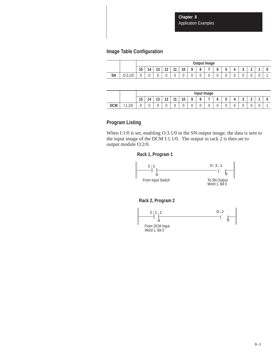**Chapter 8** Application Examples

## **Image Table Configuration**

|           |         |    | <b>Output Image</b> |                       |                  |                       |                     |          |          |   |   |             |   |                 |                  |  |
|-----------|---------|----|---------------------|-----------------------|------------------|-----------------------|---------------------|----------|----------|---|---|-------------|---|-----------------|------------------|--|
|           |         | 15 | 14                  | $\overline{ }$<br>1 J | $\sim$<br>$\sim$ | $\overline{A}$<br>. . | $\sim$<br>$\cdot$ . | $\Omega$ | $\Omega$ | - |   | -<br>n<br>υ | Д | $\epsilon$<br>w | $\sim$<br>-<br>- |  |
| <b>SN</b> | O:3.1/0 | ັ  |                     | v                     | v                | v                     | ν                   | U        |          | ◡ | u | v           | v | ◡               | ັ                |  |

|            |          |    | Input Image |          |                  |           |    |   |          |   |        |             |             |        |                 |  |
|------------|----------|----|-------------|----------|------------------|-----------|----|---|----------|---|--------|-------------|-------------|--------|-----------------|--|
|            |          | 15 | 14          | 19<br>IJ | 10<br>. <u>.</u> | 11<br>. . | 10 | O | $\Omega$ | - | o      | -<br>ħ<br>◡ | Δ           | c<br>ັ | $\epsilon$<br>- |  |
| <b>DCM</b> | 1/0<br>. | U  | v           | ັ        | U                | v         | v  | U |          | ◡ | ٠<br>v | ◡           | $\sim$<br>ັ | ∽<br>ັ | v               |  |

## **Program Listing**

When I:1/0 is set, enabling O:3.1/0 in the SN output image, the data is sent to the input image of the DCM I:1.1/0. The output in rack 2 is then set to output module O:2/0.

#### **Rack 1, Program 1**



## **Rack 2, Program 2**

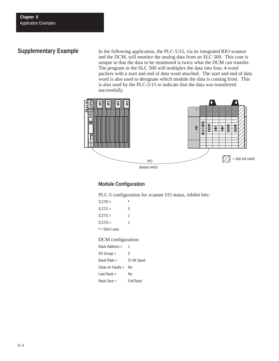# **Supplementary Example**

In the following application, the PLC-5/15, via its integrated RIO scanner and the DCM, will monitor the analog data from an SLC 500. This case is unique in that the data to be monitored is twice what the DCM can transfer. The program in the SLC 500 will multiplex the data into four, 4-word packets with a start and end of data word attached. The start and end of data word is also used to designate which module the data is coming from. This is also used by the PLC-5/15 to indicate that the data was transferred successfully.



## **Module Configuration**

PLC-5 configuration for scanner I/O status, inhibit bits:

| $S:27/0=$      |   |
|----------------|---|
| $S:27/1=$      | 0 |
| S:27/2 =       | 1 |
| $S:27/3=$      | 1 |
| * = Don't care |   |

#### DCM configuration:

| Rack Address $=$    |                  |
|---------------------|------------------|
| $I/O$ Group $=$     | N                |
| Baud Rate $=$       | 57.6K baud       |
| Clear on Faults $=$ | N٥               |
| Last Rack $=$       | N٥               |
| $Rack Size =$       | <b>Full Rack</b> |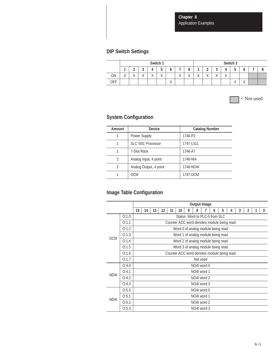**Chapter 8** Application Examples

# **DIP Switch Settings**

|           |                           |                        |                        |                        | Switch 1               |                           |                           | Switch 2                |                        |                           |                         |                           |                   |                          |  |  |
|-----------|---------------------------|------------------------|------------------------|------------------------|------------------------|---------------------------|---------------------------|-------------------------|------------------------|---------------------------|-------------------------|---------------------------|-------------------|--------------------------|--|--|
|           |                           | -                      | u                      |                        | -<br>J                 |                           |                           | c                       |                        | ı                         | $\mathbf{\hat{a}}$<br>u |                           | -<br>J            | u                        |  |  |
| <b>ON</b> | $\mathbf{v}$<br>$\lambda$ | $\lambda$<br>$\lambda$ | $\lambda$<br>$\lambda$ | $\sqrt{}$<br>$\lambda$ | $\lambda$<br>$\lambda$ |                           | $\mathbf{v}$<br>$\Lambda$ | $\lambda$<br>$\sqrt{ }$ | $\lambda$<br>$\lambda$ | $\mathbf{v}$<br>$\lambda$ | $\lambda$<br>$\lambda$  | $\mathbf{v}$<br>$\Lambda$ |                   |                          |  |  |
| OFF       |                           |                        |                        |                        |                        | $\mathbf{v}$<br>$\Lambda$ |                           |                         |                        |                           |                         |                           | $\mathbf{v}$<br>Λ | $\mathbf{v}$<br>$\wedge$ |  |  |

= Not used

# **System Configuration**

| Amount         | <b>Device</b>          | <b>Catalog Number</b> |
|----------------|------------------------|-----------------------|
|                | <b>Power Supply</b>    | 1746-P2               |
| 1              | SLC 5/01 Processor     | 1747-L511             |
| 1              | 7-Slot Rack            | 1746-A7               |
| $\mathcal{P}$  | Analog Input, 4 point  | 1746-NI4              |
| $\mathfrak{p}$ | Analog Output, 4 point | 1746-NO4I             |
|                | <b>DCM</b>             | 1747-DCM              |

# **Image Table Configuration**

|             |       |             | <b>Output Image</b>                        |    |    |    |    |   |             |  |   |   |   |   |                |   |   |
|-------------|-------|-------------|--------------------------------------------|----|----|----|----|---|-------------|--|---|---|---|---|----------------|---|---|
|             |       | 15          | 14                                         | 13 | 12 | 11 | 10 | 9 | 8           |  | 6 | 5 | 4 | 3 | $\overline{2}$ | 1 | 0 |
|             | O:1.0 |             | Status Word to PLC-5 from SLC              |    |    |    |    |   |             |  |   |   |   |   |                |   |   |
| <b>DCM</b>  | 0:1.1 |             | Counter ACC word denotes module being read |    |    |    |    |   |             |  |   |   |   |   |                |   |   |
|             | O:1.2 |             | Word 0 of analog module being read         |    |    |    |    |   |             |  |   |   |   |   |                |   |   |
|             | O:1.3 |             | Word 1 of analog module being read         |    |    |    |    |   |             |  |   |   |   |   |                |   |   |
|             | Q:1.4 |             | Word 2 of analog module being read         |    |    |    |    |   |             |  |   |   |   |   |                |   |   |
|             | 0:1.5 |             | Word 3 of analog module being read         |    |    |    |    |   |             |  |   |   |   |   |                |   |   |
|             | 0:1.6 |             | Counter ACC word denotes module being read |    |    |    |    |   |             |  |   |   |   |   |                |   |   |
|             | 0:1.7 | Not used    |                                            |    |    |    |    |   |             |  |   |   |   |   |                |   |   |
|             | O:4.0 |             | NO4I word 0                                |    |    |    |    |   |             |  |   |   |   |   |                |   |   |
| <b>NO41</b> | O:4.1 | NO4I word 1 |                                            |    |    |    |    |   |             |  |   |   |   |   |                |   |   |
|             | O:4.2 |             |                                            |    |    |    |    |   | NO4I word 2 |  |   |   |   |   |                |   |   |
|             | O:4.3 |             |                                            |    |    |    |    |   | NO4I word 3 |  |   |   |   |   |                |   |   |
|             | O:5.0 |             |                                            |    |    |    |    |   | NO4I word 0 |  |   |   |   |   |                |   |   |
| <b>NO41</b> | O:5.1 |             |                                            |    |    |    |    |   | NO4I word 1 |  |   |   |   |   |                |   |   |
|             | O:5.2 |             |                                            |    |    |    |    |   | NO4I word 2 |  |   |   |   |   |                |   |   |
|             | O:5.3 |             |                                            |    |    |    |    |   | NO4I word 3 |  |   |   |   |   |                |   |   |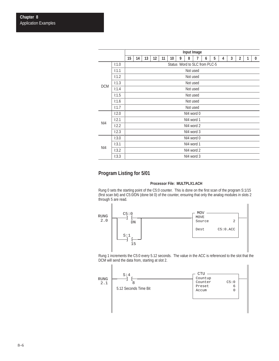|            |       | Input Image |            |    |    |    |    |   |                               |   |   |   |   |   |                |   |          |
|------------|-------|-------------|------------|----|----|----|----|---|-------------------------------|---|---|---|---|---|----------------|---|----------|
|            |       | 15          | 14         | 13 | 12 | 11 | 10 | 9 | 8                             | 7 | 6 | 5 | 4 | 3 | $\overline{2}$ | 1 | $\bf{0}$ |
|            | 1:1.0 |             |            |    |    |    |    |   | Status Word to SLC from PLC-5 |   |   |   |   |   |                |   |          |
| <b>DCM</b> | 1:1.1 |             |            |    |    |    |    |   | Not used                      |   |   |   |   |   |                |   |          |
|            | 1:1.2 |             |            |    |    |    |    |   | Not used                      |   |   |   |   |   |                |   |          |
|            | 1:1.3 |             |            |    |    |    |    |   | Not used                      |   |   |   |   |   |                |   |          |
|            | 1:1.4 |             | Not used   |    |    |    |    |   |                               |   |   |   |   |   |                |   |          |
|            | 1:1.5 |             | Not used   |    |    |    |    |   |                               |   |   |   |   |   |                |   |          |
|            | 1:1.6 |             | Not used   |    |    |    |    |   |                               |   |   |   |   |   |                |   |          |
|            | 1:1.7 |             | Not used   |    |    |    |    |   |                               |   |   |   |   |   |                |   |          |
|            | 1:2.0 |             | NI4 word 0 |    |    |    |    |   |                               |   |   |   |   |   |                |   |          |
| NI4        | 1:2.1 |             |            |    |    |    |    |   | NI4 word 1                    |   |   |   |   |   |                |   |          |
|            | 1:2.2 |             |            |    |    |    |    |   | NI4 word 2                    |   |   |   |   |   |                |   |          |
|            | 1:2.3 |             |            |    |    |    |    |   | NI4 word 3                    |   |   |   |   |   |                |   |          |
|            | 1:3.0 |             |            |    |    |    |    |   | NI4 word 0                    |   |   |   |   |   |                |   |          |
|            | 1:3.1 |             |            |    |    |    |    |   | NI4 word 1                    |   |   |   |   |   |                |   |          |
| NI4        | 1:3.2 |             |            |    |    |    |    |   | NI4 word 2                    |   |   |   |   |   |                |   |          |
|            | 1:3.3 |             |            |    |    |    |    |   | NI4 word 3                    |   |   |   |   |   |                |   |          |

## **Program Listing for 5/01**

#### **Processor File: MULTPLX1.ACH**

Rung 0 sets the starting point of the C5:0 counter. This is done on the first scan of the program S:1/15 (first scan bit) and C5:0/DN (done bit 0) of the counter, ensuring that only the analog modules in slots 2 through 5 are read.



Rung 1 increments the C5:0 every 5.12 seconds. The value in the ACC is referenced to the slot that the DCM will send the data from, starting at slot 2.

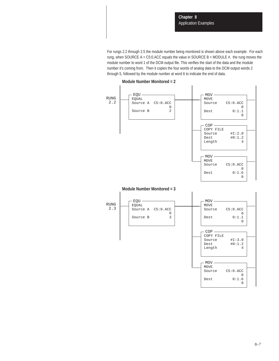For rungs 2.2 through 2.5 the module number being monitored is shown above each example. For each rung, when SOURCE A = C5:0.ACC equals the value in SOURCE B = MODULE  $#$ , the rung moves the module number to word 1 of the DCM output file. This verifies the start of the data and the module number it's coming from. Then it copies the four words of analog data to the DCM output words 2 through 5, followed by the module number at word 6 to indicate the end of data.



**Module Number Monitored = 2**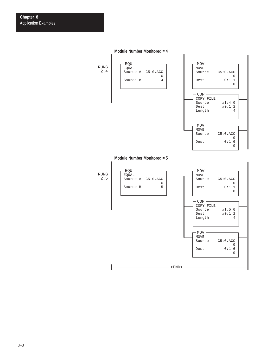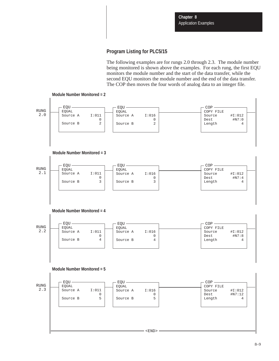## **Program Listing for PLC5/15**

The following examples are for rungs 2.0 through 2.3. The module number being monitored is shown above the examples. For each rung, the first EQU monitors the module number and the start of the data transfer, while the second EQU monitors the module number and the end of the data transfer. The COP then moves the four words of analog data to an integer file.

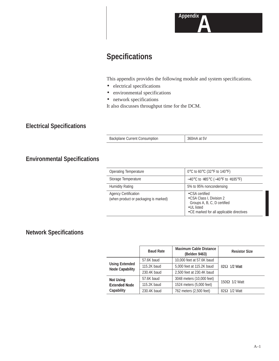

# **Specifications**

This appendix provides the following module and system specifications.

- electrical specifications
- environmental specifications
- network specifications

It also discusses throughput time for the DCM.

# **Electrical Specifications**

Backplane Current Consumption 360mA at 5V

# **Environmental Specifications**

| Operating Temperature                                                | 0°C to 60°C (32°F to 140°F)                                                                                                           |
|----------------------------------------------------------------------|---------------------------------------------------------------------------------------------------------------------------------------|
| Storage Temperature                                                  | $-40^{\circ}$ C to $+85^{\circ}$ C ( $-40^{\circ}$ F to $+185^{\circ}$ F)                                                             |
| <b>Humidity Rating</b>                                               | 5% to 95% noncondensing                                                                                                               |
| <b>Agency Certification</b><br>(when product or packaging is marked) | •CSA certified<br>•CSA Class I, Division 2<br>Groups A, B, C, D certified<br>• UL listed<br>• CE marked for all applicable directives |

# **Network Specifications**

|                                                 | <b>Baud Rate</b> | <b>Maximum Cable Distance</b><br>(Belden 9463) | <b>Resistor Size</b> |  |
|-------------------------------------------------|------------------|------------------------------------------------|----------------------|--|
|                                                 | 57.6K baud       | 10,000 feet at 57.6K baud                      |                      |  |
| <b>Using Extended</b><br><b>Node Capability</b> | 115.2K baud      | 5,000 feet at 115.2K baud                      | $82\Omega$ 1/2 Watt  |  |
|                                                 | 230.4K baud      | 2,500 feet at 230.4K baud                      |                      |  |
| <b>Not Using</b>                                | 57.6K baud       | 3048 meters (10,000 feet)                      |                      |  |
| <b>Extended Node</b>                            | 115.2K baud      | 1524 meters (5,000 feet)                       | $150\Omega$ 1/2 Watt |  |
| Capability                                      | 230.4K baud      | 762 meters (2,500 feet)                        | $82\Omega$ 1/2 Watt  |  |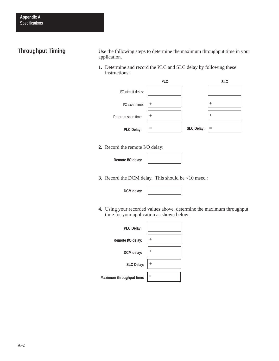# **Throughput Timing**

Use the following steps to determine the maximum throughput time in your application.

**1.** Determine and record the PLC and SLC delay by following these instructions:



**2.** Record the remote I/O delay:

**Remote I/O delay:**

**3.** Record the DCM delay. This should be <10 msec.:

**DCM delay:**

**4.** Using your recorded values above, determine the maximum throughput time for your application as shown below:

| <b>PLC Delay:</b>        |                |
|--------------------------|----------------|
| Remote I/O delay:        | $^{+}$         |
| DCM delay:               | $\overline{+}$ |
| SLC Delay: $ +$          |                |
| Maximum throughput time: |                |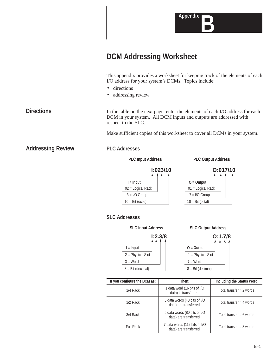

# **DCM Addressing Worksheet**

This appendix provides a worksheet for keeping track of the elements of each I/O address for your system's DCMs. Topics include:

- directions
- addressing review

In the table on the next page, enter the elements of each I/O address for each DCM in your system. All DCM inputs and outputs are addressed with respect to the SLC.

Make sufficient copies of this worksheet to cover all DCMs in your system.

**Addressing Review**

### **PLC Addresses**

**PLC Input Address PLC Output Address**













| If you configure the DCM as: | Then:                                                   | Including the Status Word  |  |  |
|------------------------------|---------------------------------------------------------|----------------------------|--|--|
| 1/4 Rack                     | 1 data word (16 bits of I/O<br>data) is transferred.    | Total transfer = $2$ words |  |  |
| $1/2$ Rack                   | 3 data words (48 bits of I/O<br>data) are transferred.  | Total transfer = 4 words   |  |  |
| 3/4 Rack                     | 5 data words (80 bits of I/O<br>data) are transferred.  | Total transfer = $6$ words |  |  |
| <b>Full Rack</b>             | 7 data words (112 bits of I/O<br>data) are transferred. | Total transfer = $8$ words |  |  |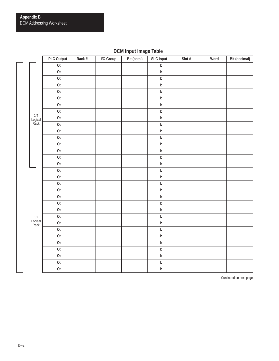# **DCM Input Image Table**

|                        | PLC Output       | Rack # | I/O Group | Bit (octal) | <b>SLC Input</b>                  | Slot $#$ | Word | Bit (decimal) |
|------------------------|------------------|--------|-----------|-------------|-----------------------------------|----------|------|---------------|
|                        | $\overline{0}$ : |        |           |             | $\overline{\mathbb{E}}$           |          |      |               |
|                        | 0:               |        |           |             | $\mathsf{I}$ :                    |          |      |               |
|                        | 0:               |        |           |             | $\overline{\mathbb{E}}$           |          |      |               |
|                        | 0:               |        |           |             | $\overline{\mathbf{E}}$           |          |      |               |
|                        | 0:               |        |           |             | $\overline{\mathbf{E}}$           |          |      |               |
|                        | 0:               |        |           |             | $\mathbb{R}$                      |          |      |               |
|                        | 0:               |        |           |             | $\mathop{\textsf{E}}$             |          |      |               |
|                        | 0:               |        |           |             | $\overline{\mathbf{E}}$           |          |      |               |
| 1/4                    | 0:               |        |           |             | $\overline{\mathbb{R}}$           |          |      |               |
| Logical<br>Rack        | 0:               |        |           |             | $\mathbf{E}% _{t}\left( t\right)$ |          |      |               |
|                        | 0:               |        |           |             | $\mathsf{I}$ :                    |          |      |               |
|                        | 0:               |        |           |             | $\overline{\mathbf{E}}$           |          |      |               |
|                        | 0:               |        |           |             | $\mathsf{I}$ :                    |          |      |               |
|                        | 0:               |        |           |             | $\mathbb{R}$                      |          |      |               |
|                        | 0:               |        |           |             | $\mathbf{E}% _{t}\left( t\right)$ |          |      |               |
|                        | 0:               |        |           |             | $\mathsf{I}$ :                    |          |      |               |
|                        | 0:               |        |           |             | $\mathsf{I}$ :                    |          |      |               |
|                        | 0:               |        |           |             | $\mathbb{R}$                      |          |      |               |
|                        | 0:               |        |           |             | $\mathsf{I}$ :                    |          |      |               |
|                        | 0:               |        |           |             | $\overline{\mathbb{E}}$           |          |      |               |
|                        | 0:               |        |           |             | $\mathbb{R}$                      |          |      |               |
|                        | 0:               |        |           |             | $\mathop{\rm E}\nolimits$         |          |      |               |
|                        | 0:               |        |           |             | $\mathsf{I}$ :                    |          |      |               |
|                        | 0:               |        |           |             | $\overline{\mathbb{E}}$           |          |      |               |
| 1/2<br>Logical<br>Rack | 0:               |        |           |             | $\mathsf{I}$ :                    |          |      |               |
|                        | 0:               |        |           |             | $\mathbb{R}$                      |          |      |               |
|                        | 0:               |        |           |             | $\overline{\mathbb{E}}$           |          |      |               |
|                        | 0:               |        |           |             | $\overline{\mathbb{R}}$           |          |      |               |
|                        | 0:               |        |           |             | $\mathsf{I}$ :                    |          |      |               |
|                        | 0:               |        |           |             | $\mathsf{I}$ :                    |          |      |               |
|                        | 0:               |        |           |             | $\mathbf{E}% _{t}\left( t\right)$ |          |      |               |
|                        | $\overline{0}$ : |        |           |             | $\overline{\mathbf{E}}$           |          |      |               |

Continued on next page.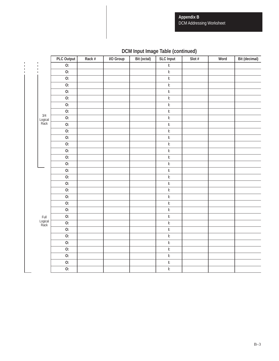**Appendix B** DCM Addressing Worksheet

|                         | PLC Output       | Rack # | I/O Group | Bit (octal) | <b>SLC Input</b>                                                      | Slot $#$ | Word | Bit (decimal) |
|-------------------------|------------------|--------|-----------|-------------|-----------------------------------------------------------------------|----------|------|---------------|
|                         | $\overline{0}$ : |        |           |             | $\overline{\mathbb{E}}$                                               |          |      |               |
|                         | 0:               |        |           |             | $\mathbf{E}% _{t}\left( t\right)$                                     |          |      |               |
|                         | $\overline{0}$ : |        |           |             | $\overline{\mathbf{E}}$                                               |          |      |               |
|                         | 0:               |        |           |             | $\mathsf{I}$ :                                                        |          |      |               |
|                         | 0:               |        |           |             | $\overline{\mathbf{E}}$                                               |          |      |               |
|                         | $\overline{0}$ : |        |           |             | $\overline{\mathbf{E}}$                                               |          |      |               |
|                         | 0:               |        |           |             | $\mathsf{I}$ :                                                        |          |      |               |
|                         | 0:               |        |           |             | $\overline{\mathbb{E}}$                                               |          |      |               |
| 3/4                     | 0:               |        |           |             | $\mathbb{R}$                                                          |          |      |               |
| Logical<br>Rack         | $\overline{0}$ : |        |           |             | E                                                                     |          |      |               |
|                         | O:               |        |           |             | $\mathbb{R}$                                                          |          |      |               |
|                         | 0:               |        |           |             | $\mathbb{R}$                                                          |          |      |               |
|                         | 0:               |        |           |             | $\mathbb{R}$                                                          |          |      |               |
|                         | 0:               |        |           |             | $\mathsf{I}$ :                                                        |          |      |               |
|                         | 0:               |        |           |             | $\mathbf{E}% _{t}\left( t\right)$                                     |          |      |               |
|                         | 0:               |        |           |             | $\mathbb{R}$                                                          |          |      |               |
|                         | $\overline{0}$ : |        |           |             | $\mathbf{E}% _{t}\left( t\right)$                                     |          |      |               |
|                         | 0:               |        |           |             | $\mathsf{I}$ :                                                        |          |      |               |
|                         | 0:               |        |           |             | $\overline{\mathbb{E}}$                                               |          |      |               |
|                         | 0:               |        |           |             | $\mathbb{R}$                                                          |          |      |               |
|                         | 0:               |        |           |             | $\mathsf{I}$ :                                                        |          |      |               |
|                         | 0:               |        |           |             | $\mathbf{E}% _{t}\left( t\right)$                                     |          |      |               |
|                         | 0:               |        |           |             | $\overline{\mathbb{R}}$                                               |          |      |               |
|                         | 0:               |        |           |             | $\overline{\mathbf{E}}$                                               |          |      |               |
| Full<br>Logical<br>Rack | 0:               |        |           |             | $\mathbb{R}$                                                          |          |      |               |
|                         | 0:               |        |           |             | $\mathbf{E}% _{t}\left( t\right)$                                     |          |      |               |
|                         | <b>O:</b>        |        |           |             | $\overline{\mathbf{E}}$                                               |          |      |               |
|                         | 0:               |        |           |             | $\mathbb{R}$                                                          |          |      |               |
|                         | 0:               |        |           |             | $\mathbf{E}% _{t}\left( t\right)$                                     |          |      |               |
|                         | 0:               |        |           |             | $\mathsf{I}$ :                                                        |          |      |               |
|                         | <b>O:</b>        |        |           |             | $\mathbf{E}% _{t}\left( t\right) \equiv\mathbf{E}_{t}\left( t\right)$ |          |      |               |
|                         | 0:               |        |           |             | $\mathbb{R}$                                                          |          |      |               |

# **DCM Input Image Table (continued)**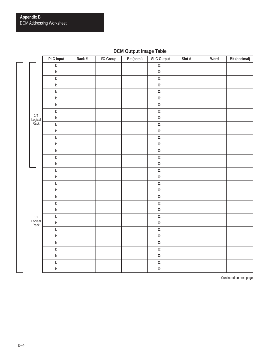# **DCM Output Image Table**

|                          | PLC Input                                                                                                                                                                                                                                                                                                          | Rack # | I/O Group | Bit (octal) | <b>SLC Output</b> | Slot $#$ | Word | Bit (decimal) |
|--------------------------|--------------------------------------------------------------------------------------------------------------------------------------------------------------------------------------------------------------------------------------------------------------------------------------------------------------------|--------|-----------|-------------|-------------------|----------|------|---------------|
| $\overline{\phantom{a}}$ | $\overline{\mathbb{E}}$                                                                                                                                                                                                                                                                                            |        |           |             | $\overline{0}$ :  |          |      |               |
|                          | ŀ.                                                                                                                                                                                                                                                                                                                 |        |           |             | 0:                |          |      |               |
|                          | $\overline{\mathbf{E}}$                                                                                                                                                                                                                                                                                            |        |           |             | 0:                |          |      |               |
|                          | $\mathsf{I}$ :                                                                                                                                                                                                                                                                                                     |        |           |             | 0:                |          |      |               |
|                          | $\mathbb{R}$                                                                                                                                                                                                                                                                                                       |        |           |             | 0:                |          |      |               |
|                          | $\mathsf{I}$ :                                                                                                                                                                                                                                                                                                     |        |           |             | 0:                |          |      |               |
|                          | $\mathsf{I}$ :                                                                                                                                                                                                                                                                                                     |        |           |             | 0:                |          |      |               |
|                          | $\overline{\mathbf{E}}$                                                                                                                                                                                                                                                                                            |        |           |             | 0:                |          |      |               |
| $1/4$<br>Logical<br>Rack | $\mathbb{R}$                                                                                                                                                                                                                                                                                                       |        |           |             | 0:                |          |      |               |
|                          | $\mathsf{I}$ :                                                                                                                                                                                                                                                                                                     |        |           |             | 0:                |          |      |               |
|                          | $\mathsf{I:}% \begin{center} \parbox{2.6in}{\includegraphics[width=2.6in]{Model1a1_n100N100.pdf}} \hspace{1em} \parbox{2.6in}{\includegraphics[width=2.6in]{Model1a1_n100N100.pdf}} \caption{The 3D (black) model for the $L^2$-error of the estimators in the left and right.} \label{fig:II:II:II} \end{center}$ |        |           |             | 0:                |          |      |               |
|                          | $\mathsf{I}$ :                                                                                                                                                                                                                                                                                                     |        |           |             | 0:                |          |      |               |
|                          | $\mathbb{R}$                                                                                                                                                                                                                                                                                                       |        |           |             | 0:                |          |      |               |
|                          | $\mathbb{R}$                                                                                                                                                                                                                                                                                                       |        |           |             | 0:                |          |      |               |
|                          | $\overline{\mathbf{E}}$                                                                                                                                                                                                                                                                                            |        |           |             | 0:                |          |      |               |
|                          | $\mathsf{I}$ :                                                                                                                                                                                                                                                                                                     |        |           |             | 0:                |          |      |               |
|                          | $\overline{\mathbb{E}}$                                                                                                                                                                                                                                                                                            |        |           |             | 0:                |          |      |               |
|                          | $\mathbf{E}% _{t}\left( t\right)$                                                                                                                                                                                                                                                                                  |        |           |             | $\overline{0}$ :  |          |      |               |
|                          | $\mathsf{I}$ :                                                                                                                                                                                                                                                                                                     |        |           |             | 0:                |          |      |               |
|                          | $\mathsf{E}% _{\boldsymbol{z}}$                                                                                                                                                                                                                                                                                    |        |           |             | 0:                |          |      |               |
|                          | $\mathbb{R}$                                                                                                                                                                                                                                                                                                       |        |           |             | $\overline{0}$ :  |          |      |               |
|                          | $\mathbb{R}$                                                                                                                                                                                                                                                                                                       |        |           |             | 0:                |          |      |               |
|                          | $\mathsf{I}$ :                                                                                                                                                                                                                                                                                                     |        |           |             | 0:                |          |      |               |
|                          | $\mathbb{R}$                                                                                                                                                                                                                                                                                                       |        |           |             | 0:                |          |      |               |
| 1/2<br>Logical<br>Rack   | $\mathbb{R}$                                                                                                                                                                                                                                                                                                       |        |           |             | 0:                |          |      |               |
|                          | $\mathbb{R}$                                                                                                                                                                                                                                                                                                       |        |           |             | 0:                |          |      |               |
|                          | $\mathsf{I:}% \begin{center} \parbox{2.6in}{\includegraphics[width=2.6in]{Model1a1_n100N100.pdf}} \hspace{1em} \parbox{2.6in}{\includegraphics[width=2.6in]{Model1a1_n100N100.pdf}} \caption{The 3D (black) model for the $L^2$-error of the estimators in the left and right.} \label{fig:II:II:II} \end{center}$ |        |           |             | $\overline{0}$ :  |          |      |               |
|                          | $\mathbb{R}$                                                                                                                                                                                                                                                                                                       |        |           |             | 0:                |          |      |               |
|                          | $\mathsf{E}% _{\boldsymbol{z}}$                                                                                                                                                                                                                                                                                    |        |           |             | 0:                |          |      |               |
|                          | $\mathsf{I:}% \begin{center} \parbox{2.6in}{\includegraphics[width=2.6in]{Model1a1_n100N100.pdf}} \hspace{1em} \parbox{2.6in}{\includegraphics[width=2.6in]{Model1a1_n100N100.pdf}} \caption{The 3D (black) model for the $L^2$-error of the estimators in the left and right.} \label{fig:II:II:II} \end{center}$ |        |           |             | 0:                |          |      |               |
|                          | $\mathsf{I}$ :                                                                                                                                                                                                                                                                                                     |        |           |             | 0:                |          |      |               |
|                          | $\mathsf{I:}% \begin{center} \parbox{2.6in}{\includegraphics[width=2.6in]{Model1a1_n100N100.pdf}} \hspace{1em} \parbox{2.6in}{\includegraphics[width=2.6in]{Model1a1_n100N100.pdf}} \caption{The 3D (black) model for the $L^2$-error of the estimators in the left and right.} \label{fig:II:II:II} \end{center}$ |        |           |             | $\overline{0}$ :  |          |      |               |

Continued on next page.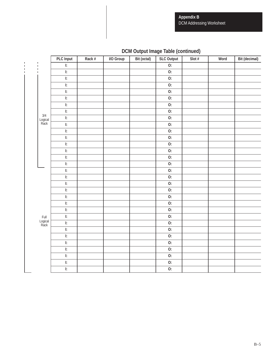**Appendix B** DCM Addressing Worksheet

|                         | PLC Input                                                             | Rack # | I/O Group | Bit (octal) | <b>SLC Output</b> | Slot $#$ | Word | Bit (decimal) |
|-------------------------|-----------------------------------------------------------------------|--------|-----------|-------------|-------------------|----------|------|---------------|
| $\mathbf{I}$            | $\overline{\mathbf{E}}$                                               |        |           |             | 0:                |          |      |               |
|                         | $\mathsf{I}$ :                                                        |        |           |             | $\overline{0}$ :  |          |      |               |
|                         | $\mathbf{E}% _{t}\left( t\right)$                                     |        |           |             | $\overline{O:}$   |          |      |               |
|                         | $\mathbf{E}% _{t}\left( t\right)$                                     |        |           |             | 0:                |          |      |               |
|                         | $\mathbf{E}% _{t}\left( t\right) \equiv\mathbf{E}_{t}\left( t\right)$ |        |           |             | 0:                |          |      |               |
|                         | $\mathsf{I}$ :                                                        |        |           |             | 0:                |          |      |               |
|                         | $\mathsf{I}$ :                                                        |        |           |             | 0:                |          |      |               |
|                         | $\overline{\mathbf{E}}$                                               |        |           |             | $\overline{0}$ :  |          |      |               |
| 3/4<br>Logical<br>Rack  | $\mathsf{I}$ :                                                        |        |           |             | 0:                |          |      |               |
|                         | $\mathbf{E}% _{t}\left( t\right)$                                     |        |           |             | 0:                |          |      |               |
|                         | $\mathsf{I}$ :                                                        |        |           |             | 0:                |          |      |               |
|                         | $\mathbf{E}% _{t}\left( t\right)$                                     |        |           |             | 0:                |          |      |               |
|                         | $\mathsf{I}$ :                                                        |        |           |             | $\overline{0}$ :  |          |      |               |
|                         | $\mathsf{I}$ :                                                        |        |           |             | $\overline{0}$ :  |          |      |               |
|                         | $\mathbf{E}% _{t}\left( t\right)$                                     |        |           |             | 0:                |          |      |               |
|                         | $\mathsf{I}$ :                                                        |        |           |             | 0:                |          |      |               |
|                         | $\mathbf{E}% _{t}\left( t\right)$                                     |        |           |             | 0:                |          |      |               |
|                         | $\mathsf{I}$ :                                                        |        |           |             | 0:                |          |      |               |
|                         | $\mathbb{R}$                                                          |        |           |             | 0:                |          |      |               |
|                         | $\mathbb{R}$                                                          |        |           |             | 0:                |          |      |               |
|                         | $\mathbb{R}$                                                          |        |           |             | 0:                |          |      |               |
|                         | $\mathbf{E}% _{t}\left( t\right)$                                     |        |           |             | $\overline{O:}$   |          |      |               |
|                         | $\mathsf{I}$ :                                                        |        |           |             | 0:                |          |      |               |
|                         | $\mathbf{E}% _{t}\left( t\right)$                                     |        |           |             | 0:                |          |      |               |
| Full<br>Logical<br>Rack | $\mathbb{R}$                                                          |        |           |             | 0:                |          |      |               |
|                         | $\mathsf{I}$ :                                                        |        |           |             | 0:                |          |      |               |
|                         | $\mathsf{I}$ :                                                        |        |           |             | 0:                |          |      |               |
|                         | $\mathbb{R}$                                                          |        |           |             | 0:                |          |      |               |
|                         | $\mathbf{E}% _{t}\left( t\right) \equiv\mathbf{E}_{t}\left( t\right)$ |        |           |             | 0:                |          |      |               |
|                         | $\overline{\mathbf{E}}$                                               |        |           |             | $\overline{0}$ :  |          |      |               |
|                         | $\mathbf{E}% _{t}\left( t\right) \equiv\mathbf{E}_{t}\left( t\right)$ |        |           |             | 0:                |          |      |               |
|                         | $\overline{\mathbf{E}}$                                               |        |           |             | $\overline{0}$ :  |          |      |               |

# **DCM Output Image Table (continued)**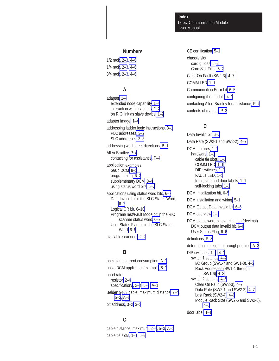#### Direct Communication Module **Index** User Manual

#### **Numbers**

1/2 rac[k, 2–3](#page-22-0)[, 4–6](#page-35-0) 1/4 rac[k, 2–3](#page-22-0)[, 4–6](#page-35-0) 3/4 rac[k, 2–3](#page-22-0)[, 4–6](#page-35-0)

#### **A**

adapter[, 1–4](#page-17-0) extended node capabilit[y, 1–4](#page-17-0) interaction with scanner[s, 1–2](#page-15-0) on RIO link as slave device[, 1–2](#page-15-0) adapter image[, 1–4](#page-17-0) addressing ladder logic instructions[, 3–1](#page-24-0) PLC addresses[, 3–2](#page-25-0) SLC addresses[, 3–3](#page-26-0) addressing worksheet directions[, B–1](#page-66-0) Allen-Bradley[, P–4](#page-11-0) contacting for assistanc[e, P–4](#page-11-0) application examples basic DCM[, 8–1](#page-54-0) programming[, 6–2](#page-43-0) supplementary DCM[, 8–4](#page-57-0) using status word bits[, 6–7](#page-48-0) applications using status word bits[, 6–7](#page-48-0) Data Invalid bit in the SLC Status Word, [6–7](#page-48-0) Logical OR bi[t, 6–10](#page-51-0) Program/Test/Fault Mode bit in the RIO scanner status wor[d, 6–7](#page-48-0) User Status Flag bit in the SLC Status Word[, 6–8](#page-49-0) available scanners[, 2–2](#page-21-0)

#### **B**

backplane current consumptio[n, A–1](#page-64-0) basic DCM application exampl[e, 8–1](#page-54-0) baud rate resistor[, 2–4](#page-23-0) specification[s, 2–4](#page-23-0)[, 5–3](#page-40-0)[, A–1](#page-64-0) Belden 9463 cable, maximum distanc[e, 2–4](#page-23-0), [5–3](#page-40-0)[, A–1](#page-64-0) bit addres[s, 3–2](#page-25-0)[, 3–3](#page-26-0)

## **C**

cable distance, maximu[m, 2–](#page-23-0)[4, 5–3](#page-40-0)[, A–1](#page-64-0) cable tie slot[s, 1–1](#page-14-0)[, 5–2](#page-39-0)

CE certification[, 5–1](#page-38-0) chassis slot card guides[, 5–2](#page-39-0) Card Slot Filler[, 5–2](#page-39-0) Clear On Fault (SW2-3)[, 4–7](#page-36-0) COMM LED[, 1–1](#page-14-0) Communication Error bit[, 6–5](#page-46-0) configuring the modul[e, 4–1](#page-30-0) contacting Allen-Bradley for assistanc[e, P–4](#page-11-0) contents of manual[, P–2](#page-9-0)

# **D**

Data Invalid bit[, 6–7](#page-48-0) Data Rate (SW2-1 and SW2-2)[, 4–7](#page-36-0) DCM features[, 1–1](#page-14-0) hardware[, 1–1](#page-14-0) cable tie slots[, 1–1](#page-14-0) COMM LED[, 1–1](#page-14-0) DIP switches[, 1–1](#page-14-0) FAULT LED[, 1–1](#page-14-0) front, side and door labels[, 1–1](#page-14-0) self-locking tabs[, 1–1](#page-14-0) DCM Initialization bit[, 6–5](#page-46-0) DCM installation and wiring[, 5–1](#page-38-0) DCM Output Data Invalid bi[t, 6–6](#page-47-0) DCM overview[, 1–1](#page-14-0) DCM status word bit examination (decimal) DCM output data invalid bit[, 6–6](#page-47-0) User Status Flag[, 6–6](#page-47-0) definitions[, P–3](#page-10-0) determining maximum throughput time[, A–2](#page-65-0) DIP switche[s, 1–1](#page-14-0)[, 4–1](#page-30-0) switch 1 settings[, 4–2](#page-31-0) I/O Group (SW1-7 and SW1-8[\), 4–2](#page-31-0) Rack Addresses (SW1-1 through SW1-6)[, 4–3](#page-32-0) switch 2 settings[, 4–6](#page-35-0) Clear On Fault (SW2-3)[, 4–7](#page-36-0) Data Rate (SW2-1 and SW2-2)[, 4–7](#page-36-0) Last Rack (SW2-4)[, 4–6](#page-35-0)

Module Rack Size (SW2-5 and SW2-6),

[4–6](#page-35-0) door label[, 1–1](#page-14-0)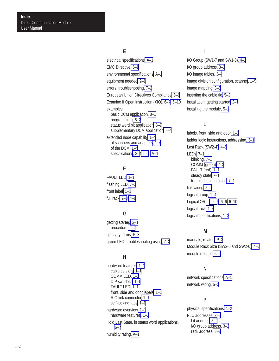#### **E**

electrical specifications[, A–1](#page-64-0) EMC Directive[, 5–1](#page-38-0) environmental specifications[, A–1](#page-64-0) equipment needed[, 2–1](#page-20-0) errors, troubleshooting[, 7–2](#page-53-0) European Union Directives Compliance[, 5–1](#page-38-0) Examine If Open instruction (XIO[\), 6–7](#page-48-0)[, 6–10](#page-51-0) examples basic DCM application[, 8–1](#page-54-0) programming[, 6–2](#page-43-0) status word bit applicatio[n, 6–7](#page-48-0) supplementary DCM application[, 8–4](#page-57-0) extended node capabilit[y, 1–4](#page-17-0) of scanners and adapter[s, 1–4](#page-17-0) of the DCM[, 1–4](#page-17-0)

**F**

specification[s, 2–4](#page-23-0)[, 5–3](#page-40-0)[, A–1](#page-64-0)

FAULT LED[, 1–1](#page-14-0) flashing LED[, 7–2](#page-53-0) front label[, 1–1](#page-14-0) full rac[k, 2–3](#page-22-0)[, 4–6](#page-35-0)

## **G**

getting started[, 2–1](#page-20-0) procedure[, 2–2](#page-21-0) glossary terms[, P–3](#page-10-0) green LED, troubleshooting usin[g, 7–2](#page-53-0)

#### **H**

hardware features[, 1–1](#page-14-0) cable tie slots[, 1–1](#page-14-0) COMM LED[, 1–1](#page-14-0) DIP switches[, 1–1](#page-14-0) FAULT LED[, 1–1](#page-14-0) front, side and door label[s, 1–1](#page-14-0) RIO link connecto[r, 1–1](#page-14-0) self-locking tabs[, 1–1](#page-14-0) hardware overview[, 1–1](#page-14-0) hardware features[, 1–1](#page-14-0) Hold Last State, in status word applications, [6–7](#page-48-0) humidity rating[, A–1](#page-64-0)

## **I**

I/O Group (SW1-7 and SW1-8[\), 4–2](#page-31-0) I/O group address[, 3–2](#page-25-0) I/O image table[s, 3–4](#page-27-0) image division configuration, scanne[r, 1–5](#page-18-0) image mapping[, 3–5](#page-28-0) inserting the cable tie[, 5–2](#page-39-0) installation, getting started[, 2–1](#page-20-0) installing the modul[e, 5–1](#page-38-0)

## **L**

labels, front, side and door[, 1–1](#page-14-0) ladder logic instructions, addressin[g, 3–1](#page-24-0) Last Rack (SW2-4)[, 4–6](#page-35-0) LEDs[, 7–1](#page-52-0) blinking[, 7–1](#page-52-0) COMM (green)[, 7–2](#page-53-0) FAULT (red)[, 7–1](#page-52-0) steady state[, 7–1](#page-52-0) troubleshooting usin[g, 7–1](#page-52-0) link wiring[, 5–2](#page-39-0) logical group[, 1–4](#page-17-0) Logical OR bi[t, 6–5](#page-46-0)[, 6–6](#page-47-0)[, 6–10](#page-51-0) logical rack[, 1–4](#page-17-0) logical specification[s, 1–2](#page-15-0)

## **M**

manuals, related[, P–2](#page-9-0) Module Rack Size (SW2-5 and SW2-6[\), 4–6](#page-35-0) module release[, 5–2](#page-39-0)

# **N**

network specifications[, A–1](#page-64-0) network wiring[, 5–3](#page-40-0)

## **P**

physical specifications[, 1–2](#page-15-0) PLC addresses[, 3–2](#page-25-0) bit address[, 3–2](#page-25-0) I/O group addres[s, 3–2](#page-25-0) rack address[, 3–2](#page-25-0)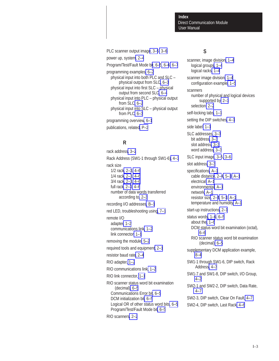Direct Communication Module **Index** User Manual

PLC scanner output imag[e, 3–5](#page-28-0)[, 3–6](#page-29-0) power up, syste[m, 2–4](#page-23-0) Program/Test/Fault Mode b[it, 6–](#page-46-0)[5, 6–6](#page-47-0)[, 6–7](#page-48-0) programming examples[, 6–2](#page-43-0) physical input into both PLC and SLC – physical output from SL[C, 6–3](#page-44-0) physical input into first SLC – physical output from second SL[C, 6–4](#page-45-0) physical input into PLC – physical output from SLC[, 6–2](#page-43-0) physical input into SLC – physical output from PLC[, 6–3](#page-44-0) programming overvie[w, 6–1](#page-42-0) publications, related[, P–2](#page-9-0)

# **R**

rack address[, 3–2](#page-25-0) Rack Address (SW1-1 through SW1-6)[, 4–3](#page-32-0) rack size 1/2 rac[k, 2–3](#page-22-0)[, 4–6](#page-35-0) 1/4 rac[k, 2–3](#page-22-0)[, 4–6](#page-35-0) 3/4 rac[k, 2–3](#page-22-0)[, 4–6](#page-35-0) full rac[k, 2–3](#page-22-0)[, 4–6](#page-35-0) number of data words transferred according to[, 2–3](#page-22-0) recording I/O addresse[s, B–1](#page-66-0) red LED, troubleshooting usin[g, 7–1](#page-52-0) remote I/O adapte[r, 1–2](#page-15-0) communications link[, 1–2](#page-15-0) link connector[, 1–1](#page-14-0) removing the module[, 5–2](#page-39-0) required tools and equipment[, 2–1](#page-20-0) resistor baud rate[, 2–4](#page-23-0) RIO adapter, [1–2](#page-15-0) RIO communications link[, 1–2](#page-15-0) RIO link connector, [1–1](#page-14-0) RIO scanner status word bit examination (decimal)[, 6–5](#page-46-0) Communications Error bi[t, 6–5](#page-46-0) DCM initialization bi[t, 6–5](#page-46-0) Logical OR of other status word bit[s, 6–5](#page-46-0) Program/Test/Fault Mode bit[, 6–5](#page-46-0) RIO scanner[s, 2–2](#page-21-0)

## **S**

scanner, image division[, 1–4](#page-17-0) logical group[s, 1–4](#page-17-0) logical racks[, 1–4](#page-17-0) scanner image division[, 1–4](#page-17-0) configuration example[, 1–5](#page-18-0) scanners number of physical and logical devices supported by[, 2–3](#page-22-0) selection[, 2–2](#page-21-0) self-locking tab[s, 1–1](#page-14-0) setting the DIP switches[, 4–1](#page-30-0) side label[, 1–1](#page-14-0) SLC addresses[, 3–3](#page-26-0) bit address[, 3–3](#page-26-0) slot address[, 3–3](#page-26-0) word address[, 3–3](#page-26-0) SLC input imag[e, 3–5](#page-28-0)[, 3–6](#page-29-0) slot address[, 3–3](#page-26-0) specifications[, A–1](#page-64-0) cable distanc[e, 2–4](#page-23-0)[, 5–3](#page-40-0)[, A–1](#page-64-0) electrical[, A–1](#page-64-0) environmental[, A–1](#page-64-0) network[, A–1](#page-64-0) resistor siz[e, 2–4](#page-23-0)[, 5–3](#page-40-0)[, A–1](#page-64-0) temperature and humidit[y, A–1](#page-64-0) start-up instructions[, 2–1](#page-20-0) status word[s, 1–6](#page-19-0)[, 6–5](#page-46-0) about the[, 1–6](#page-19-0) DCM status word bit examination (octal), [6–6](#page-47-0) RIO scanner status word bit examination (decimal)[, 6–5](#page-46-0) supplementary DCM application example, [8–4](#page-57-0) SW1-1 through SW1-6, DIP switch, Rack Address[, 4–3](#page-32-0) SW1-7 and SW1-8, DIP switch, I/O Group, [4–2](#page-31-0) SW2-1 and SW2-2, DIP switch, Data Rate, [4–7](#page-36-0) SW2-3, DIP switch, Clear On Fault[, 4–7](#page-36-0) SW2-4, DIP switch, Last Rack[, 4–6](#page-35-0)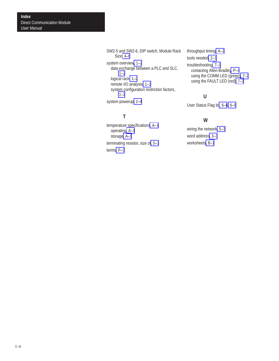SW2-5 and SW2-6, DIP switch, Module Rack Size[, 4–6](#page-35-0) system overvie[w, 1–2](#page-15-0) data exchange between a PLC and SLC, [1–2](#page-15-0) logical rack[, 1–2](#page-15-0) remote I/O analysis[, 1–2](#page-15-0) system configuration restriction factors, [1–2](#page-15-0) system powerup[, 2–4](#page-23-0)

# **T**

temperature specification[s, A–1](#page-64-0) operating[, A–1](#page-64-0) storage[, A–1](#page-64-0) terminating resistor, size o[f, 5–3](#page-40-0) terms[, P–3](#page-10-0)

throughput timing[, A–2](#page-65-0) tools needed[, 2–1](#page-20-0)

troubleshooting[, 7–1](#page-52-0) contacting Allen-Bradle[y, P–4](#page-11-0) using the COMM LED (green)[, 7–2](#page-53-0) using the FAULT LED (red)[, 7–1](#page-52-0)

## **U**

User Status Flag bi[t, 6–6](#page-47-0)[, 6–8](#page-49-0)

## **W**

wiring the network[, 5–3](#page-40-0) word address[, 3–3](#page-26-0) worksheets[, B–1](#page-66-0)